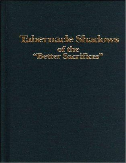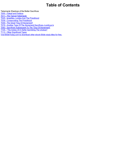# **Table of Contents**

Tabernacle Shadows of the Better Sacrifices

T000 - Flyleaf and Preface

T011 - The Typical Tabernacle

T025 - Israelites, Levites And The Priesthood

T039 - Consecrating The Priesthood

T049 - The Great "DayOf Atonement"

T079 - Another Type Of The Atonement Sacrifices--Leviticus Ix

T093 - Sacrifices Subsequent To The "DayOf Atonement"

T105 - "The Ashes Of A Heifer Sprinkling The Unclean"

T113 - Other Significant Types

Visit BibleToday.com to download other ebook Bible study titles for free.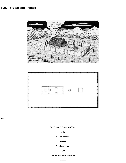# **T000 - Flyleaf and Preface**





flyleaf

## TABERNACLES SHADOWS

=of the=

"Better Sacrifices"

----------

A Helping Hand

--FOR--

THE ROYAL PRIESTHOOD

----------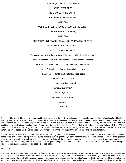To the King of Kings and Lord of Lords

IN THE INTEREST OF

HIS CONSECRATED SAINTS,

#### WAITING FOR THE ADOPTION.

--AND OF--

"ALL THAT IN EVERYPLACE CALL UPON THE LORD,"

"THE HOUSEHOLD OF FAITH,"

--AND OF--

THE GROANING CREATION, TRAVAILING AND WAITING FOR THE

MANIFESTATION OF THE SONS OF GOD,

THIS WORK IS DEDICATED.

"To make all see what is the fellowship of the mystery which from the beginning

of the world hath been hid inGod." "Wherein He hath abounded toward

us in all wisdom and prudence, having made known unto us the

mystery of His will, according to His good pleasure which

He hath purposed in Himself; that in the dispensation

of the fulness of the times He

might gather together in one all

things, under Christ."

Eph. 3:4,5,9;1:8-10

(Originally Published in 1881)

foreword i

PREFACE

The first edition of this little book was published in 1881, and under the Lord's blessing seems to have been very helpful to the class for which it was specially intended, --the "royal priesthood." Many of this class have confessed that as the finger of the Lord it pointed out to them meanings in the Old Testament types never before appreciated; and that it has thus guided them in the way of self-sacrifice, by leading them to see the true significance of the Scriptural declarations--"Present your bodies living sacrifices," "Fill up that which is behind of the afflictions of Christ," "If we suffer with him we shall also reign with him," "Let us go to him outside the camp, bearing the reproach with him"; besides many other Scripture statements which associate the Lord's people with himself both "in the sufferings of this present time and the glory to follow."

The author rejoices that this is true, and prays the divine blessing also upon this new edition, which was made necessary by reason of the electroplates of the former edition being worn, and by the desire to have its general style conform to that of the Scripture Studies series--for it may properly be considered a supplement and sequel to the fifth volume of that work, kept separate for convenience. Aside from these typographic changes, and the addition of one chapter, and a few alterations in the phraseology to make some points possible more perspicuous, there are no changes. Indeed, no particular changes seemed possible or desirable.

foreward ii

The understanding of the subjects herein set forth would seem to have been heaven directed, "taught of God," at a time when the light was absolutely necessary to the full and clear presentation of the Plan of the Ages. And those who have been blessed by the helps furnished in this little book, and others who shall yet be similarly blessed, we trust, may all esteem that they are also "taught of God"; for be it noted that the author has sought to prove every point and every application by the Word of the Lord, and has taught nothing of himself: as he has received of the Lord through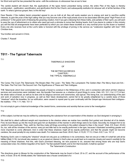his Word and spirit he has presented the same --with the evidences--to whosoever has an ear to hear.

The careful student will discern that, the applications of the types herein presented being correct, the entire Plan of the Ages is thereby corroborated -- justification, sanctification, and glorification first for the Church, and subsequently restitution for whoever will, of all the families of the earth. To what a glorious gospel, then, is this the key!

Dear Reader, if the matters herein presented appeal to you as truth at all, they will surely awaken you to energy and zeal to sacrifice earthly interests, to gain the prize of the high calling--that you may become one of the royal priests soon to be associated with the great "High Priest of our profession" in the grand work of blessing the groaning creation. And if you get a blessing from these truths, and partake of their spirit, you will want to pass the cup of refreshment on to others who need just such a stimulus to revive their fainting hearts. And if you desire to colabor in this ministry you will find that all arrangements have been perfected by which you can obtain these booklets at a very nominal price--by the dozen or hundred. Every one who receives food at the Lord's table is honored with the privilege of joining in the service--as "colaborers together with God." With Christian love,

Your brother and servant in Christ,

Charles T. Russell

# **T011 - The Typical Tabernacle**

T11

## TABERNACLE SHADOWS

OF

## THE BETTER SACRIFICES CHAPTER I THE TYPICAL TABERNACLE

The Camp--The Court--The Tabernacle--The Brazen Altar--The Laver-- The Table--The Lampstand--The Golden Altar--The Mercy Seat and Ark-- The Gate--The First Veil--The Second Veil--The Significance of These and Their Antitypes.

THE Tabernacle which God commanded the people of Israel to construct in the Wilderness of Sin, and in connection with which all their religious services and ceremonies were instituted, was, the Apostle Paul assures us, a shadow of good things to come. (Heb. 8:5; 10:1; Col. 2:17) In fact, the whole nation of Israel, as well as its laws and its religious services and ceremonies, was typical. This being true, our understanding of the plan and work of salvation now in progress, as well as their future development, cannot fail to be greatly enlightened by a careful study of those "shadows" which the Israelites, for our edification, were caused to repeat year by year continually until the Gospel age introduced their antitypes-the realities. 1 Pet. 1:11; Heb. 10:1-3

It is not simply to gain a historical knowledge of the Jewish forms, ceremonies and worship that we come to the investigation

T12

of this subject, but that we may be edified by understanding the substance from an examination of the shadow--as God designed in arranging it.

We shall fail to attach sufficient weight and importance to the shadow unless we realize how carefully God guided and directed all of its details. First, he took Moses up into the mount and gave him an illustration of the manner in which things were to be made; Secondly, he charged him to be careful of every particular--"See, saith he, that thou make all things according to the pattern shewed to thee in the mount." (Heb. 8:5; Exod. 25:40) So, too, with all the minutiae of the service: every jot and tittle had to be exactly performed in the type, because it illustrated something greater and more important to come afterward. And in order that these shadows might all be exactly performed, and that the people might not become careless, the usual penalty for any violation was death. For instances see Exod. 28:43; Num. 4:15,20; 17:13; 2 Sam. 6:6,7; Lev. 10:1,2

Realizing God's care in making the "shadow" should not only give us confidence in its correctness, that not one jot or tittle of it shall fail until all be fulfilled (Matt. 5:18), but should also awaken in us so great an interest in God's plan as would lead us to examine closely and search carefully for the meaning of those shadows. And this, with God's promised blessing, we now purpose to do, assured that among those who are truly God's consecrated ones--his children begotten of his Spirit--"he that seeketh findeth; and to him that knocketh, it shall be opened." The Tabernacle's Construction

The directions given to Moses for the construction of the Tabernacle may be found in Exod. 25 to 27, and the account of the performance of the work, in Exod. 35 to 40. Briefly stated, the Tabernacle was a house constructed of a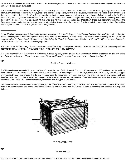series of boards of shittim (acacia) wood, "overlaid" or plated with gold, set on end into sockets of silver, and firmly fastened together by bars of the same wood, also covered with gold.

This structure was 15 feet wide, 15 feet high and 45 feet long, and open at the front or east end. It was covered by a large white linen cloth, interwoven with figures of cherubim, in blue, purple and scarlet. The open end, or front of the structure, was closed by a curtain of similar material to the covering cloth, called the "Door," or first veil. Another cloth of the same material, similarly woven with figures of cherubim, called the "Veil" (or second veil), was hung so that it divided the Tabernacle into two apartments. The first or larger apartment, 15 feet wide and 30 feet long, was called the "Holy."\* The second or rear apartment, 15 feet wide and 15 feet long, was called the "Most Holy." These two apartments constituted the Tabernacle proper; and a tent was erected over them for shelter. It was made of a covering of cashmere cloth or goat hair, another of ram skins dyed red, and another of seal skins (mistranslated badger skins).

\*In the English translation this is frequently, though improperly, called the "holy place," and in such instances the word place will be found in italics, indicating that it has been supplied by the translators, as, for instance, in Exod, 26:33. This error is quite confusing, as the "Court" was properly called the "holy place." When place is not in italics, the "Court" is always meant. See Lev. 14:13 and 6:26,27. In some instances the *"Holy" is termed the "Tabernacle of the congregation."*

The "Most Holy," or "Sanctuary," is also sometimes called the "Holy place"--place in italics. Instances, Lev. 16:17,20,23. In referring to these *apartments, we will call them, severally, the "Court," "The Holy" and "The Most Holy."*

A lack of appreciation of the interest of Christians in these typical pictures and of the necessity for uniform exactness, on the part of the translators of Leviticus, must have been the cause of the varied translations which have so aided in confusing the student.

T14

*\_\_\_\_\_\_\_\_\_\_\_\_\_\_*

The Holy Court or Holy Place

The Tabernacle was surrounded by a yard, or "Court," toward the rear of which it stood. This court, 75 feet wide and 150 feet long, was formed by a fence of linen curtains, suspended from silver hooks, set in the tops of wooden posts 7 1/2 feet high, which were set in heavy sockets of copper (mistranslated brass), and braced, like the tent which covered the Tabernacle, with cords and pins. This enclosure was all holy ground, and was therefore called the "Holy Place"--also the "Court of the Tabernacle." Its opening, like the door of the Tabernacle, was towards the east, and was called the "Gate." This "Gate" was of white linen, interwoven with blue, purple and scarlet.

It will be noticed that the three entrance passages, viz., the "Gate" into the "Court," the "Door" into the "Holy" and the "Veil" into the "Most Holy," were of the same material and colors. Outside the Tabernacle and its "Court" was the "Camp" of Israel surrounding it on all sides at a respectful distance.



THE BRAZEN ALTAR

T15

The Furnishments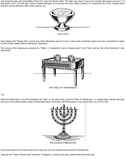Just inside the gate, and immediately in front of it, stood the "Brazen Altar." This altar was made of wood and covered with copper, and was 7 1/2 feet square and 4 1/2 feet high. Various utensils belonged to its service--fire pans (called censers), for carrying the fire to the "Incense Altar," basins to receive the blood, flesh hooks, shovels, etc.



Next, between the "BrazenAltar" and the door of the Tabernacle, was the "Laver." It was made of polished copper, and was a receptacle for water; at it the priests washed before entering the Tabernacle.

The furniture of the Tabernacle consisted of a "Table," a "Candlestick" and an "Incense Altar" in the "Holy," and the "Ark of the Testimony" in the "Most Holy."



T16

Within the Tabernacle, in the first apartment, the "Holy," on the right (north), stood the Table of "Shewbread"-- a wooden table overlaid with gold; and upon it were placed twelve cakes of unleavened bread in two piles, with frankincense on top of each pile. (Lev. 24:6,7) This



bread was proper for the priests only to eat: it was holy, and was renewed every seventh or Sabbath day.

Opposite the "Table of Shew-bread" stood the "Candlestick," made of pure gold, beaten work (hammered out),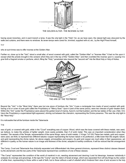

THE GOLDEN ALTAR - THE INCENSE ALTAR

having seven branches, and in each branch a lamp. It was the only light in the "Holy"; for, as we have seen, the natural light was obscured by the walls and curtains, and there were no windows. Its seven lamps were cared for, trimmed, supplied with oil, etc., by the High Priest himself,

## T17

who at such times was to offer incense at the Golden Altar.

Farther on, close up to the "Veil," stood a small altar, of wood covered with gold, called the "Golden Altar" or "Incense Altar." It had no fire upon it except what the priests brought in the censers which they set in the top of this "Golden Altar," and then crumbled the incense upon it, causing it to give forth a fragrant smoke or perfume, which, filling the "Holy," penetrated also beyond the "second veil" into the Most Holy or Holy of Holies.



THE ARK OF THE TESTIMONY

Beyond the "Veil," in the "Most Holy," there was but one piece of furniture--the "Ark." It was a rectangular box made of wood overlaid with gold, having a lid or cover of pure gold called the Propitiatory or "Mercy Seat." Upon it (and of the same piece), were two cherubs of gold--beaten work. Within this "Ark" (under the Propitiatory) were placed the golden bowl of manna, Aaron's rod that budded, and the two tables of the Law. (Heb. 9:4) Upon the Propitiatory a supernatural light appeared, shining out between the cherubim, representing the Divine presence. This was the only light in the "Most Holy."

It is noticeable that all the furniture inside the Tabernacle

## T18

was of gold, or covered with gold, while in the "Court" everything was of copper. Wood, which was the base covered with these metals, was used, we believe, to make the articles of lighter weight, more easily portable, than if of solid metal. This was an important consideration when they traveled. The vessels of the Temple, representative of the same things, were of solid metals. (1 Kings 7:47-50) These two metals, gold and copper, were used, we think, to represent two different natures--copper representing the human nature in its perfection, a little lower than the angelic nature; and gold representing the divine nature, far above angels, principalities and powers. As gold and copper are much alike in their appearance, yet different in quality, so the human nature is an image and likeness of the divine, adapted to earthly conditions. It will be noticed that the arrangement of

The Camp, Court and Tabernacle thus distinctly separated and differentiated into three general divisions, represent three distinct classes blessed by the atonement; and the two parts of the Tabernacle represent two conditions of one of these classes.

"The Camp" represented the condition of the world of mankind in sin, needing atonement and desiring it and its blessings, however indistinctly it analyzes its cravings and groanings. In the type the "Camp" was the nation of Israel at large, which was separated from all holy things by the curtain of white linen, representing to those within a wall of faith, but to those without a wall of unbelief which hindered their view of and access to the holy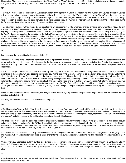things within. There was only one gateway to enter the "Holy Place" or "Court"; the type thus testifying that there is but one way of access to God- one "gate"--Jesus. "I am the way,...no man cometh unto the Father but by me." "I am the door." John 14:6; 10:9

T19

"The Court," represented the condition of Justification, entered through faith in Christ, the "gate." Into this "Court" only Levites (typical of justified believers) were allowed to come, during the Atonement Day. These had access to the "Brazen Altar" and to the "Laver," and did service in the "Court," but had no right as merely Levites (believers) to go into the Tabernacle; no, nor even to look into it. (Num. 4:19,20) In the "Court" all things were of copper, to indicate that the class admitted there were justified men. The "Court" did not represent the condition of the spiritual class during the Gospel age, though the priests, in sacrificing and washing, used it also.

"The Tabernacle" building, with its two parts, represented the two conditions of all who undergo a change of nature from human to spiritual. The first apartment, the "Holy," represented the condition of all those who (as Levites--justified believers) have consecrated their human nature to death, that they might become partakers of the divine nature (2 Pet. 1:4), having been begotten of the Spirit. Its second apartment, the "Holy of Holies," beyond the "Veil"-- death--represented the condition of the faithful "overcomers" who will attain to the divine nature. These, after having completed their consecration in death, will be fully changed, born from the dead in the First Resurrection, to the divine nature and organism. No human being, be he ever so full of faith, be he washed from every sin, and in God's sight justified freely from all things and reckoned perfect, can have any place or privilege in the spiritual things represented in the interiors of the Tabernacle and Temple. He cannot even look into spiritual things, in the sense of appreciating them. But, during the Gospel age, such are "called" to consecrate and sacrifice their human nature in God's service, and to inherit instead the spiritual nature--as members of the Body of Christ. "The natural man receiveth not the things of the Spirit...neither can he know

T20

them, because they are spiritually discerned." 1 Cor. 2:14

The fact that all things in the Tabernacle were made of gold, representative of the divine nature, implies that it represented the condition of such only as are called to the divine nature. Only those of the Levites who were consecrated to the work of sacrificing (the Priests) had access to the Tabernacle; so only those of the household of faith who are consecrated to sacrifice, even unto death, enter the divine conditions represented in the Tabernacle.

The "Court," the justified human condition, is entered by faith only; but while we must retain the faith that justifies, we must do more, if we would experience a change of nature and become "new creatures," "partakers of the heavenly calling," to be "partakers of the divine nature." Entering the "Holy," therefore, implies our full consecration to the Lord's service, our begetting of the spirit and our start in the race for the prize of the divine nature-- the terms of which are, faithfulness to our vow, crucifying the justified flesh, presenting our human wills and bodies living sacrifices to God; no longer to seek human pleasure, honor, praise, etc., but to be dead to these and alive to the heavenly impulses. Yet, into this condition, also, we still come through Christ Jesus our Lord, who not only opened for us the "Gate" of justification through faith in his blood, but who also opened the "Door" (the first veil) into the Tabernacle, "a new way of life," as spirit beings, through and beyond the second veil, by the sacrifice of our justified flesh.

Hence the two apartments of the Tabernacle, the "Holy" and the "Most Holy," represented two phases or stages of the new life to which we are begotten by the holy Spirit.

The "Holy" represented the present condition of those begotten

T21

of God through the Word of Truth. (Jas. 1:18) These, as heavenly minded "new creatures," though still "in the flesh," have their real (inner) life and walk with God within the first veil of consecration, and beyond the intellectual sight of the world and the unconsecrated believers. These enjoy the inner light of the "golden candlestick," while others are in "outer darkness"; these eat of special spiritual food, represented in the unleavened "bread of presence," and offer incense at the golden altar, acceptable through Christ Jesus.

The "Most Holy" represented the perfected condition of those new creatures who, faithful unto death, gain the great prize of our high calling through a share in the first resurrection. (Rev. 20:6) Then, beyond both veils--the fleshly mind and the fleshly body--they will possess glorious spiritual bodies as well as spiritual minds. They will be like their Leader and Forerunner beyond the veil, who, having entered as our Redeemer, hath consecrated for us this new and living way--or new way of life. Heb. 10:20; 1 John 3:2

The spiritual-minded creature in the "Holy" by faith looks forward through the rent "Veil" into the "Most Holy," catching glimpses of the glory, honor and immortality beyond the flesh; which hope is as an anchor to the soul, sure and steadfast, entering into that which is beyond the veil. Heb. 6:19; 10:20

We see, then, that justification by faith, our first step toward holiness, brings us into a condition of "peace with God through our Lord Jesus Christ." (Rom. 5:1) When our sins are forgiven, or reckonedly covered with Christ's righteousness, we are a step nearer to God, but still human--in the "Court." If we would attain the prize of the high calling which is of God in Christ Jesus, and enter through the "Holy" into the "Most Holy," we must follow

#### T22

in the Footsteps of Jesus, our Leader and Head--"the High Priest of our profession" [i.e., the High Priest of our order of priesthood] the "royal priesthood." Heb. 3:1; 1 Peter 2:9--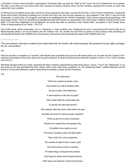(1) By faith in Christ's ransom-sacrifice, represented in the Brazen Altar, we enter the "Gate" to the "Court"--the veil of unbelief and sin is passed. This step is one which our Lord Jesus never took, because not being of Adamic stock, but holy, harmless, separate from sinners, he never was outside the Court condition.

(2) Renouncing our justified human wills, and all our human aspirations and hopes, we pass the first veil, or veil of human-mindedness--counting the human will as dead; henceforth consulting not it, but the will of God only. We now find ourselves as "new creatures" in the "Holy"--in the first of the "Heavenlies" or Holies (Eph. 2:6--Diaglott), and begin to be enlightened by the "Golden Candlestick" (God's Word) respecting spiritual things--"the deep things of God," and to be refreshed and strengthened daily with the truth, as represented in the "shew-bread," lawful for only the Priests to eat. (Matt. 12:4) And thus enlightened and strengthened, we should daily offer up sacrifices at the "Golden Altar," acceptable to God through Jesus Christ--a sweet perfume to our Father. 1 Pet. 2:5\*

Thus all the saints, all the consecrated, are in a "heavenly" or "holy" condition now--"seated [at rest and in communion] with Christ in [the first of these] heavenly places," but not yet entered into the "holiest of all." No, another veil must first be passed. As the passing of the preceding veil represented the death of the HUMAN will, so the passing of the second veil represented the death of the HUMAN body; and

\*The word spiritual in this text is omitted by the oldest Greek MS, the Sinaitic, with evident propriety. Not spiritual but human rights, privileges, *life, etc., are sacrificed.*

T23

*\_\_\_\_\_\_\_\_\_\_\_\_\_\_\_\_*

both are requisite to complete our "sacrifice." Both fleshly mind and fleshly body must be left behind before we can enter into the "holiest of all"- perfected as partakers of the divine nature and its spirit conditions: for flesh and blood cannot inherit the Kingdom of God. (1 Cor. 15:50) Compare John 3:5,8,13.

With these thoughts before our minds, respecting the three conditions represented by these three places, "Camp," "Court" and "Tabernacle," in our next study we will note particularly the three classes which come under these conditions; viz., the Unbelieving World, Justified Believers and the Saints or Consecrated Believers, typified respectively by Israelites, Levites and the Priesthood.

T24

| The Tabernacle                                     |
|----------------------------------------------------|
| "What lone mysterious abode is this,               |
| Surrounded by a wall of spotless white;            |
| By day an altar in the wilderness,                 |
| A silent watcher on the plain by night?            |
| "Who dwells within its consecrated veil,           |
| To secular and alien feet denied?                  |
| Who answers when the priest, white-robed and pale, |
| Sprinkles the blood by 'bulls and goats' supplied? |
| "Think you that He of name omnipotent              |
| Required for naught these oft-repeated rites,      |
| Or gratified mere vanity by scent                  |
| Of incense, broidered robes and altar-lights?      |
| "Nay, verily! The curious tapestries,              |
| The vessels wrought of silver, copper, gold,       |
| The ceremonious modes of sacrifice,                |
| All 'better things' of Gospel times foretold.      |
| "And happy he whose reverent gaze discerns         |

What 'types and shadows' could but dimly trace: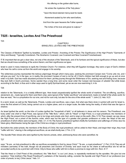His offering on the golden altar burns,

He solves the mysteries of the 'holy place.'

"Upon the blood-stained mercy-seat he reads

Atonement sealed by him who went before,

And from the open heavens the Father speeds

The riches of his love and grace to outpour."

# **T025 - Israelites, Levites And The Priesthood**

T25

## CHAPTER II ISRAELITES, LEVITES AND THE PRIESTHOOD

The Classes of Mankind Typified by Israelites, Levites and Priests-- Anointing of the Priests--The Significance of the High Priest's "Garments of Glory and Beauty," Typically Considered--The Abrahamic Covenant, Law Covenant and New Covenant Foreshadowed.

IT IS important that we get a clear idea, not only of the structure of the Tabernacle, and of its furniture and the typical significance of these, but also that we should know something of the actors therein, and their significance as types.

Israel is used in many instances to typify the Christian Church. For instance, when they left Egyptian bondage, they were a type of God's children who hear his call to come out from the world and engage in his worship.

The wilderness journey represented the tedious pilgrimage through which many pass, seeking the promised Canaan rest--"Come unto me, and I will give you rest." As in the type, so in reality, the promised Canaan of rest is not far off, if God's children had faith enough to go up and at once enter in by faith. God has made abundant provision for them: yet they journey through the Wilderness of Sin, seeking rest and finding none, because they lack faith in God's promises. Some wander thus a long time; and some never enter the Canaan rest because of unbelief. But while Israel, according to the flesh, is thus and in other ways used to typify Spiritual Israel, yet as we are now examining it, in its

T26

relation to the Tabernacle, it is a totally different type. Here Israel unquestionably typified the whole world of mankind. The sin-offering, sacrifice, atonement, etc., made typical for them (and them only), were typical of the "better sacrifices" and atonement, made on behalf of the whole world; for thus we read, "He is a propitiation for our sins, and not for ours only, but also for the sins of the whole world." 1 John 2:2; Heb. 9:23

In a word, Israel, as well as the Tabernacle, Priests, Levites and sacrifices, was a type. And what was there done in symbol with and for Israel is, since the first advent of Christ, being carried out on a higher plane, and on a larger scale, the latter being the reality, of which that was the type or shadow.

As Israel typified the world, so the tribe of Levites typified the "household of faith," or all believers in Jesus and his ransom. The Priesthood, one body under one chief or High Priest, was typical of the "little flock," which, with its "Head" or High Priest, is a royal priesthood, the members of which, after the present time of sacrificing, are to be kings and priests unto God, and to reign on the earth. (Rev. 5:10) Thus viewed, we see Jesus the High Priest, not a priest of the Aaronic order, which was but the type of a greater and grander profession or order, the Head of the real priesthood of which others were but figures. (Heb. 3:1; 4:14) The Aaronic priesthood typified chiefly the humiliation and sufferings of Christ, less his future glory--Melchisedec being the type of the Christ as a kingly or royal priesthood.

But before the under-priests, the members of the Body of Christ, the royal priesthood, will be united to their Head, and begin their reign, they must "suffer with him," sharing in the antitypical sacrifices, as we shall shortly see. 2 Tim. 2:12

The Apostle Peter shows who were typified by the Aaronic priests, when, addressing those who were sanctified, he

T27

says: "Ye are...an holy priesthood to offer up sacrifices acceptable to God by Jesus Christ." "Ye are...a royal priesthood." (1 Pet. 2:5,9) They are all ministers (servants) of the truth, though not all preachers and Doctors of Divinity: and each must do his share at self-sacrifice ere he will be accounted worthy to be a joint-heir with Christ. Only to those who suffer with him is there a promise to reign with him. Rom. 8:17

That the Head or Chief Priest of this priesthood, this "little flock," is our Lord Jesus, is repeatedly mentioned by the apostles. We give but one quotation: "Holy brethren ["the Royal Priesthood"], partakers of the heavenly calling, consider the Apostle and High Priest of our profession [our order of priests, to be], Christ Jesus." Heb. 3:1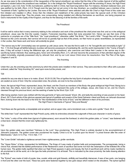As we now pass to the consideration of the inauguration of the typical priesthood, we notice that the tribe of the Levites (typical of all the justified believers) existed before the priesthood was instituted. So in the antitype the "Royal Priesthood" began with the anointing of Jesus, the High Priest (at baptism, Luke 3:22; Acts 10:38); but believers, justified by faith in Christ, had lived long before that. For instance, Abraham believed God, and was justified by his faith. (Rom. 4:2,3) Though even the type had not yet come in his day, Abraham, as a justified believer, was a member of the "household of faith," typified by the Levites. But none of the "Royal Priesthood" were selected until after the Chief or High Priest of this order was first initiated and installed in office. Since then the initiation and installment of the under-priests has been the special work of this Christian dispensation or Gospel Age. Thus the priests, now consecrating, being installed and offering themselves as sacrifices, are being prepared as God's instruments for the royalty of the Kingdom, and thus for the blessing of all the families of the earth.

T28

## The Priesthood

It will be well to notice that in every ceremony relating to the ordination and work of the priesthood the chief priest was first: and so in the antitypical priesthood, Jesus was the first--the Leader, Captain, Forerunner--teaching clearly that none preceded him. Hence we see that none of the patriarchs or prophets are of the "little flock," the "royal priesthood," otherwise called "the Bride," "the Lamb's Wife." Though they will be greatly blessed as the Lord's servants, their service will not be so grandly high as that of the priests, nor their honor so great; nevertheless, as represented in the Levites, their future work and honor will evidently be great.

"The narrow way to life" (immortality) was not opened up until Jesus came. He was the first to walk in it. He "brought life and immortality to light." (2 Tim. 1:10) And though all faithful believers (Levites) will become possessors of everlasting life, and the world (represented in the "Camp of Israel") also, if they will accept it during the Millennial age, yet only the priesthood, who overcome and follow their Leader in the narrow way to life- sacrificing human interests--thus seeking glory, honor and immortality (Rom. 2:7), will ever become the possessors of that unlimited degree of life called immortality, originally possessed only by Jehovah God, and by our Lord Jesus Christ since his resurrection. See The Plan of the Ages, Chapters X and XI.

#### The Anointing

Under the Law, the anointing was the ceremony by which the priests were installed in their service. They were anointed to their office with a peculiar ointment, called the "Holy Anointing Oil," used upon none but the priests, and

T29

unlawful for any one else to have or to make. (Exod. 30:25-33,38) This oil typifies the holy Spirit of adoption whereby we, the real "royal priesthood," are sealed as sons of God. Only the consecrated ones, the priests, are ever to be thus anointed.

Aaron, the typical High Priest, represented Jesus, the Head, and the Church as members of the Body--the great antitypical High Priest. Being but a sinful man, like others, Aaron had to be washed in order fitly to represent the purity of the antitype, Jesus, who knew no sin, and his Church, cleansed through his precious blood, and the washing of water by the Word. Eph. 5:26

After being washed,Aaron was clothed with the holy garments of "glory and beauty" (Exod. 28), and lastly the anointing oil was poured on his head. (Exod. 29:7) Each article of this glorious apparel was typical of qualities and powers of the Great Deliverer--Head and Body--as Jehovah discerned them, looking down into the future to the time for "the manifestation of the Sons of God," and the fulfilment in them of his promises. The High Priest inGarments of Typical "Glory and Beauty"

"And these are the garments--a breastplate and an ephod, and an upper robe, and a broidered coat, a mitre and a girdle." Exod. 28:4

The white linen "coat" represented the High Priest's purity, while its embroidery showed the outgrowth of that pure character in works of grace.

The "mitre," a strip of fine white linen (typical of righteousness), worn around the forehead, to which the golden plate, or "crown," was fastened with a blue lacer, showed that the crown was righteously his.

T30

Upon the golden plate was inscribed "Holiness to the Lord," thus proclaiming: This High Priest is entirely devoted to the accomplishment of Jehovah's purposes. The golden crown also proclaimed his royalty: Christ is to be "a priest upon his throne"--"a priest forever after the order of Melchisedec." Zech. 6:13; Psa. 110:4; Heb. 7:17

The "Linen Girdle" indicated a righteous servant: linen--righteousness, girdle--servitude.

The "Upper Robe," of blue, represented his faithfulness. The fringe of it was made of golden bells and pomegranates. The pomegranate, being a choice fruit, showed that the faithful performance of the Redeemer's work of sacrifice had borne rich fruit--the redemption of the forfeited life of the human race. The golden bells signified that when our High Priest appears in glory and beauty, the fruit of sacrificial work will be made manifest to all--proclaimed to all the world, as in the type the bells proclaimed it to all Israel. This is indicated by the close proximity: the bells drawing attention to the fruit.

The "Ephod" was made of cloth of purple, blue, scarlet, white and gold threads, skillfully and beautifully interwoven. It was of two parts, one hanging in front and the other over the back. These two parts were fastened together by two gold clasps which rested on the shoulders. The ephod typified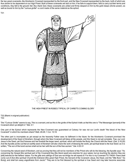the two great covenants--the Abrahamic Covenant represented by the front part, and the New Covenant represented by the back, both of which are thus shown to be dependent on our High Priest. Both of these covenants are laid on him: if he fails to support them, fails to carry out their terms and conditions, they fall to the ground--fail. But, thank God, these covenants are united and firmly clasped on him by the gold clasps (divine power), as well as bound to him by the "curious girdle"--a cord made of the same material as the ephod.



THE HIGH PRIEST IN ROBES TYPICAL OF CHRIST'S COMING GLORY

T32 (Blank in original publication) T33

This "Curious Girdle" seems to say, This is a servant, and as this is the girdle of the Ephod it tells us that this one is "The Messenger [servant] of the Covenant whom ye delight in." Mal. 3:1

One part of the Ephod which represents the New Covenant was guaranteed at Calvary: for was not our Lord's death "the blood of the New Covenant" in which his members share? Matt. 26:28; 1 Cor. 10:16

The other part is incomplete as yet except as the heavenly Father sees its fulfilment in the future: for the Abrahamic Covenant promised the development of the Seed of Abraham, through whom the New Covenant will bless all the people, and this Seed is not yet complete. True, our Lord Jesus is the Seed, yet God foresaw and has foretold the larger seed, spiritual, which will include the Body, the Church with the Head. (Gal. 3:16,29) And the Apostle points out that an earthly seed of Abraham will also share the work of blessing the world, yet spiritual Israel is the true Seed: as it is written, "The son of the bond woman shall not be heir with the son of the free woman." Gal. 4:22-31

Concerning the natural seed of Abraham, and as proving that they will not be members of the Priest who will do the blessing, the Apostle says: "As concerning the Gospel [the spiritual part of the Covenant] they [the literal seed] are enemies for your sakes; but as touching the election they are [still] beloved for the fathers' sakes. For the gifts and callings of God are not things he will repent of. For this is my Covenant TO THEM--There shall come out of Zion [the spiritual Church] the Deliverer [this great High Priest, the Servant of the Covenant--Jesus, the Head, and the "little flock," his Body], and shall turn away ungodliness from Jacob." They are to be first blessed by the spiritual or true Seed and may later become associate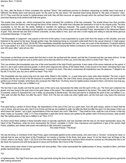#### T34

So, then, after the Body of Christ completes the spiritual "Seed," that additional promise to Abraham respecting an earthly seed must have a fulfilment: the fleshly seed must become great "as the sand by the sea shore," the heavenly Seed being likened to "the stars of heaven." (Gen. 22:17) They must first be turned to righteousness and truth; they will then become an agency through which the spiritual Seed will operate in the promised blessing of all mankind with truth and grace.

The scarlet, blue, purple, etc., which composed the ephod, indicated the conditions of the two covenants. The scarlet shows how God provides redemption from the Adamic curse through the blood of the ransom. The white linen indicates the restoration of man to his original purity. The blue vouchsafes to him the aid, the ability, faithfully to maintain his righteous character. The purple proclaims the royal power of the Kingdom cooperating. All of these blessings woven together are made sure by the divine power of the anointed Priest, represented in the interwoven thread of gold. Thus Jehovah has laid both of these covenants, as they relate to men, upon one who is both mighty and willing to execute these glorious covenanted blessings--"in due time."

"The Breastplate of Judgment"--was placed on the front of the ephod. It was suspended by a gold chain from the clasps on the shoulder, and was fastened to the ephod by the lacer, through golden rings--this fastening being so concealed underneath that to the casual observer it might appear to be a part of the ephod. (Exod. 28:26-28) This breastplate beautifully represented the Law: It was not a part of the Abrahamic Covenant (ephod) but "it was added" to it. (Gal. 3:19) As the Israelite regarded them (not seeing the hidden connection), the Covenant to Abraham and "the law, which was 430 years after," were all one. But

#### T35

Paul shows us that there are two seeds that God had in mind, the spiritual and the natural, and that the Covenant and the Law were distinct, "to the end that the promise might be sure to all the seed; not to that only which is of the Law, but to that also which is of the Faith." Rom. 4:16

This Law emblem (the breastplate) was one of the most beautiful of the High Priest's garments. It was made of the same materials as the ephod. It had in it, set in gold, twelve precious jewels, in which were engraved the names of the twelve tribes. It was bound on his heart, indicating that it was precious to him. As a "breastplate of righteousness" it covered his heart. That which condemned all imperfection was his pleasure--"I delight to do thy will, O myGod: yea, thy Law is within my heart." Psa. 40:8

This breastplate was two spans long and one span wide, folded in the middle, i.e., a span long and a span wide when doubled. The size, a span, indicated that the law of God is the full measure of a perfect man's ability. The man Christ Jesus, being perfect, was the only one who ever kept the perfect Law of God inviolate, while those who compose the "little flock," his Body, have his righteousness imputed to them, and hence may truly say, "The righteousness of the Law is fulfilled in us."

The fact that it was double and that the parts were of the same size represented the letter and the spirit of the Law. The front part contained the jewels, and was hung by the gold chain to the gold clasps of the ephod. The underpart was fastened to the ephod. This under half, tied to the ephod (Covenant), seems to represent the Law in letter, as presented to fleshly Israel. The front part seems to illustrate the spirit of the Law fulfilled in us, "who walk not after the flesh, but after the spirit." (Rom. 8:4) The two are really one when rightly seen, yet the front part, only, bears the precious jewels.

#### T36

Pure gold being a symbol of divine things, the dependence of this part of the Law by a gold chain, from the gold clasps, seems to teach that the Law is divine; and we know, also, that it is by Divine aid that we are enabled to walk--not after the flesh but after the spirit. It is this phase of the Law which bears the "jewels," set in gold, representative of the true Israel, the Lord's "little flock." "They shall be mine, saith the Lord of hosts, in that day when Imake up my jewels." (Mal. 3:17) Thus embedded in gold (the divine nature) and upheld by the golden chain of Divine promises, what wonder that "the righteousness of the law is fulfilled in us!" Rom. 8:1,4

As Aaron stood there clothed in those beautiful robes so typically significant, and was anointed with the holy oil, his head represented Jesus, the Head of the Priesthood, while his body represented the Church, complete in Christ. How impressive and significant a type of the world's High Priest, undefiled, and clothed with power and authority to fulfil Jehovah's covenants!

## The Under-Priests--"The Body"

We see the Body, or members of the High Priest, again individually typified by the under-priests, who each wore a "bonnet," covering his head, to indicate that he was not the head of the Priesthood, but merely a member of the Body. God gave Jesus "to be the Head over all things to the Church, which is his Body." (Eph. 1:22,23) It is for this reason that Paul insists that a woman's head should be covered as indicating that she is not the head; the husband and wife being typical of Jesus and his Bride--the Church of the First-born.

The under-priests were robed in linen garments and wore girdles. Their robes represented the righteousness of Jesus, imputed to them, and their girdles represent them as servants

#### T37

of righteousness. The High Priest wore very similar garments during the time of sacrificing (the Day of Atonement) and put on the glorious garments after making atonement.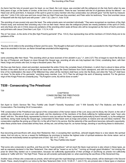#### The Anointing of the Priest

As Aaron had the holy oil poured upon his head, so our Head, the Lord Jesus, was anointed with the antitypical oil--the holy Spirit--when he was thirty years of age, on the banks of Jordan, at the time of his consecration. There he was "anointed with the oil of gladness above his fellows"-- as Head over all his joint-heirs. A measure of the spirit is given to every member who thus consecrates; but Jehovah gave "not the Spirit by measure unto him." (John 3:34) John saw and bore record that our High Priest was thus anointed, and Peter adds his testimony, "How God anointed Jesus of Nazareth with the holy Spirit and with power." John 1:32; Luke 4:1; Acts 10:38

The anointing oil was poured only upon the head. The under-priests were not anointed individually.\* They were recognized as members of the High Priest's body, and received their anointing only in him as their head. Hence also the antitypical priests are merely partakers of the spirit of Christ, and only those who are in Christ Jesus are partakers of the anointing which seals all those who will be recognized as the heirs of God's promises, and joint-heirs with Jesus Christ their Lord. Eph. 1:13,14; 4:30

The oil "ran down...to the skirts of his [the High Priest's] garments" (Psa. 133:2), thus representing how all the members of Christ's Body are to be partakers of the

\*Exodus 30:30 refers to the anointing of Aaron and his sons. The thought is that each of Aaron's sons who succeeded to the High Priest's office *was to be anointed in his turn, as Aaron himself was anointed at the beginning.*

T38

*\_\_\_\_\_\_\_\_\_\_\_\_\_\_\_*

same anointing after their Head. "The anointing which ye have received of him abideth in you." (1 John 2:27) This oil began to reach the Body on the day of Pentecost, and flowed on down through this Gospel age, anointing all who are truly baptized into Christ, constituting them, with their Head, kings and priests unto God, to reign a thousand years. Rev. 20:6

We thus see that Aaron, robed and anointed, represented the entire Christ--the complete Seed of Abraham, in which God is about to bless all the families of the earth. But let us not forget that we have been viewing the Great Deliverer from God's standpoint, and with him looking down to the time of his manifestation--the dawn of the Millennial Day--when all the members shall have come into the Body, and when the "holy oil" shall have run down "to the skirts of his garments," anointing every member. (Lev. 10:7) Then he will begin the work of blessing mankind. For the glorious reign of this Kingly Priest we constantly pray, "Thy Kingdom come, thy will be done on earth."

# **T039 - Consecrating The Priesthood**

T39

## CHAPTER III CONSECRATING THE PRIESTHOOD LEVITICUS 8:14-33

Set Apart to God's Service--"Be Thou Faithful unto Death"--"Sanctify Yourselves," and "I Will Sanctify You"--The Bullocks and Rams of Consecration--The Anointing Oil of Consecration.

THE consecration of the Priesthood was typical of the consecration of the human nature of the Lord Jesus and his Body, the Church, to the will of Jehovah--the obedience of Jesus even unto death, and the obedience of the members of his Body suffering for righteousness' sake "even unto death" with him. The whole Body, represented by Aaron's sons (as well as the Head, represented personally by Aaron himself), is, by the antitypical sacrifices, being made during the Gospel age, consecrated for their future work as kings and priests, to restore and rule and bless mankind. This consecration signifies the giving up of their ALL to the will of God in his service. But the extremity of the sacrificers becomes Jehovah's opportunity; when these priests have consecrated all they have, all they are, and all they hope for, as human beings, devoting or sacrificing these to destruction,

T40

thus becoming joint-sacrificers with Jesus their Redeemer, then, in accepting their sacrifices, Jehovah begets these to a new nature--the spiritual nature. And not only so, but as a reward for faithfulness he promises to bestow the highest order of spiritual existence--the divine nature: and at once they are reckonedly owned as spiritual sons of God. Gal. 4:4-7; 2 Pet. 1:4

### "Be Thou Faithful Unto Death"

That some who consecrate to sacrifice, and thus join the "royal priesthood," will not reach the future royal service is also shown in these types, as well as expressly declared in the New Testament. One class will be "saved so as by fire," "coming up through great tribulation," but missing the prize for which they started out in consecration, because not sufficiently appreciative of their privilege of sacrificing as priests--not sufficiently .<br>zealous to "suffer with him," the High Priest. These we will consider particularly later on, when examining the sacrifices of the Atonement Day.

Another class of those who consecrate as priests, which will not gain the royal blessings promised to these priests, will be destroyed in the Second Death. These, clearly brought to our notice by the New Testament (Heb. 6:4-6; 10:28-31; 1 John 5:16), are pictured also in these types or shadows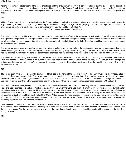of the Tabernacle service.

Aaron's four sons at first represented the under-priesthood, but two of these were destroyed--corresponding to the two classes above described, both of which fail, as respects the royal priesthood; one of them suffering the Second Death, the other saved from it only "so as by fire"-- tribulation, purgation. And as Aaron and the two remaining sons were forbidden to make lamentation for their brethren who were thus cut off, this signifies that all the

T41

faithful of the priests will recognize the justice of the Divine decisions, and will bow to them in humble submission, saying, "Just and true are thy ways, thou King of saints." Indeed, it brings a blessing to the faithful, leading them to greater zeal, saying, "Let us fear lest a promise being left us of entering into his rest any of us should seem to come short of it." Lev. 10:1-7; Rev. 15:3; Heb. 4:1 "Sanctify Yourselves"--and--"I Will Sanctify You"

The invitation to the justified believer to consecrate, sanctify, or set apart himself to the divine service, is an invitation to sacrifice earthly interests and rights: and the promise on God's part is that such sacrifices will be holy and acceptable through the merit of our Redeemer, and that in return he will accept us as new creatures, begetting us to the new nature by the holy Spirit of the truth. Thus God sanctifies or sets apart such as are reckoned holy new creatures.

The typical consecration service performed upon the typical priests shows the two parts of the consecration--our part in surrendering the human nature and its rights, and God's part in accepting our sacrifice, and setting us apart and recognizing us as new creatures. The new spiritual nature was represented in Aaron and his sons; the earthly nature sacrificed was represented in the bullock and rams offered on the altar. Lev. 8:14-33

The bullock for the sin-offering was brought, "and Aaron and his sons laid their hands upon the head" of it, thus saying, This sacrifice represents us. From that moment, all that happened to the bullock, represented what was to be done to Jesus and to his Body, the Church, as human beings. The bullock was delivered up to the "Law" (represented by Moses), to meet its demands against Israel, typical of mankind in general. To meet the demands of the Law

T42

it had to be slain--"And Moses slew it." He then applied the blood to the horns of the altar. The "finger" of the "Law" thus pointed out that the altar of earthly sacrifices was acceptable to God by reason of the shed blood, (the life given), and that all who realize the power of the altar (horns are symbols of power) must first recognize the blood which sanctifies it. The blood poured at the base of the altar showed that through the blood of the sacrifice (life given) even the earth was purchased back from the curse. "Unto the redemption of the purchased possession." See Eph. 1:14.

And Moses took the bullock, his hide, flesh, etc., and burnt them with fire without the "Camp." (Verse 17) Thus the humanity of the Christ complete-- Head and Body--is made "a sin-offering," suffering the destruction to which the world was doomed, and from which, by this sacrifice, it will ultimately be delivered--the merit being in the sacrifice of our Lord Jesus, we, his "brethren," being privileged to fill up a measure of HIS sufferings, as "members of his Body." (Col. 1:24) But while the humanity of the royal priesthood is destroyed, as a vile thing in the eyes of the world, as represented by the burning of the bullock without the "Camp," God accepts the heart devotion which prompts the sacrifice, which says, "Lo, I come to do thy will, O God." "I delight to do thy will, O my God." This was represented by the offering on the altar of the fat and parts of the inward lifeproducing organism, as a "sweet savor" unto the Lord.

Other features of the same consecration were shown by the two rams mentioned in verses 18 and 22. The first mentioned was the ram for the burnt-offering. Aaron and his sons laid their hands upon its head, thus indicating that it represented them. It was killed; its blood was sprinkled upon the altar; and Moses "cut the ram into pieces, and washed the inwards and legs in water," and "burnt the head and the pieces and the fat." Thus during the entire

T43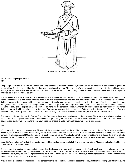

A PRIEST - IN LINEN GARMENTS

T44 (Blank in original publication) T45

Gospel age Jesus and his Body, the Church, are being presented, member by member, before God on the altar, yet all are counted together as one sacrifice. The Head was laid on the altar first, and since then all who are "dead with him," and cleansed, as in the type, by the washing of water --through the Word--are reckoned as laid with the Head upon the same altar. The burning of the offering on the altar shows how God accepts the sacrifice, as "a sweet smelling savor."

The second ram, "the ram of consecration," showed what effect the sacrifice will have upon us, as the first showed how God receives our sacrifice. Aaron and his sons laid their hands upon the head of the ram of consecration, showing thus that it represented them. And Moses slew it and took its blood (consecrated life) and put it upon each separately, thus showing that our consecration is an individual work. And he put it upon the tip of the right ear, and upon the thumb of the right hand, and upon the great toe of the right foot. Thus by our consecration we are enabled to have the "hearing of faith," and to appreciate God's promises as none but the consecrated can. Our hands are consecrated, so that whatsoever our hands find to do we do it with our might as unto the Lord. Our feet are consecrated, so that henceforth we "walk not as other Gentiles" but "walk in newness of life," "walk by faith," "walk in the spirit," "walk in the light" and even "as we received Christ, so walk in him." Verses 23,24

The choice portions of the ram, its "inwards" and "fat," represented our heart sentiments, our best powers. These were taken in the hands of the priests and "waved"--passed to and fro before the Lord--representing the fact that a consecrated offering is not given to the Lord for a moment, a day or a year, but that we consecrate to continually keep our affections and powers uplifted, never ceasing until accepted

#### T46

of him as having finished our course. And Moses took the wave-offering off their hands (the priests did not lay it down), God's acceptance being shown by fire. So we, the "royal priests," may not lay down or cease to offer all our powers in God's service while we have them, nor until all are consumed in his service, until God shall say, It is enough--come up higher. When the love ("fat") of our inmost being is laid upon the altar, it helps to increase the fire of God's acceptance. The more love there is connected with our consecration to God, the more quickly will it consume our offering.

Upon this "wave-offering," while in their hands, were laid three cakes from a basketful. This offering was laid by Moses upon the hands of both the High Priest and the under-priests.

The first, an unleavened cake, represented the actual purity of Jesus as a man, and the imputed purity of the Church as men, as attested by the Law (Moses)--justification-- for "the righteousness of the Law is fulfilled in us" so long as we are accepted members of his Body. (Rom. 8:4) The second unleavened cake, mingled with oil, represented the indwelling spirit of God--sanctification. The third, a wafer, represented our hope and faith in the exceeding precious promises of glory, honor and immortality.

Without these elements it is impossible for our consecration to be complete, and hence acceptable; viz., Justification (purity), Sanctification by the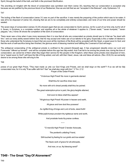Spirit, through the belief of the truth, and faith in the promised Glorification.

The anointing oil mingled with the blood of consecration was sprinkled over them (verse 30), teaching that our consecration is accepted only because we are justified by the precious blood of our Redeemer; thus we are told that we are "accepted in the Beloved"--only. Ephesians 1:6

T47

The boiling of the flesh of consecration (verse 31) was no part of the sacrifice: it was merely the preparing of the portion which was to be eaten. It was all to be disposed of (verse 32), showing that we are to be completely and entirely consecrated, and none of our time and power should be wasted.

The seven days of consecration (verses 33,35) showed again that we are consecrated to God's service, not for a part of our time only, but for all of it. Seven, in Scripture, is a complete number, and signifies all or the whole of whatever it applies to. ("Seven seals," "seven trumpets," "seven plagues," etc.) Verse 36 shows the completion of the work of consecration.

There never was a time when it was more necessary than it is now that all who are consecrated as priests should see to it that we "be dead with him," and our every ability waved before God, that he may accept and make use of our talents to his glory. Especially is this a matter of interest to those who understand the Scriptures to teach that very soon all the members of the Body will be accepted with the Head, a sweet savor to God; and that the work of self-sacrifice being then finished, the glorious work of blessing mankind and fulfilling the Covenant of God will begin.

The antitypical consecrating of the antitypical priests is confined to the present [Gospel] age. It has progressed steadily since our Lord and Forerunner "offered up himself"-- and will be complete before this age has fully ended. And if we fail to be among the priests now, during the time of consecration, we cannot be of them when they begin their service for the people in the Kingdom, when these same priests (now despised of men, but a "sweet savor to God") will have the title of King added, and will, with their Head, Jesus, rule and bless all nations. (Rev. 20:6) Do we earnestly desire to be among those who will sing to the

T48

praise of our great High Priest, "Thou hast made us unto our God Kings and Priests, and we shall reign on the earth"? If so we will be fully consecrated now, for it is only "If we suffer with him" that "we shall also reign with him." 2 Tim. 2:12 Prayer of the Under-Priests

"Victorious High Priest! No more in garments stained

Shalt thou for sacrifice draw near;

No more with sin's dread penalty shalt thou be pained.

The great redemption-price is paid, the glory-heights attained,

And soon to bless shalt thou appear!

"All-glorious High Priest! All power in heaven and earth,

All grace and love dost thou possess!

As rightful King of kings and Lord of lords, stand forth!

While joyful trumps proclaim thy righteous name and worth,

And prostrate hosts thy praise confess.

\* \* \*

"O merciful High Priest! O tender Advocate,

The penitent's unfailing Friend,

Still touched by feeling for our griefs and low estate!

The future work of grace for all anticipate,

And now, on us, thy blessing send!"

## **T049 - The Great "DayOf Atonement"**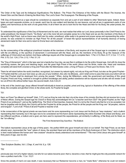#### CHAPTER IV THE GREAT "DAYOF ATONEMENT" LEVITICUS 16:3-33

The Order of the Type and Its Antitypical Significations--The Bullock-- The Priest--The Entrance of the Holies with the Blood--The Incense, the Sweet Odor and the Stench--Entering the Most Holy--The Lord's Goat--The Scapegoat--The Blessing of the People.

THE Day of Atonement as a type should be considered as separate from and yet a part of and related to other Tabernacle types. Indeed, these types are each separate pictures, so to speak; each has its own subject and teaches its own lessons, and yet all are in agreement--parts of one gallery, and harmonious as the work of one great Artist. In all of them we are to look first for the Head and then for his Body, the under-priests, the Church.

To understand the significance of the Day of Atonement and its work, we must realize that while our Lord Jesus personally is the Chief Priest to the under-priesthood, the Gospel Church, "his Body," yet in the more full and complete sense he is the Head and we are the members of the Body of the world's High Priest. Just so Aaron was chief over his under- priesthood, while really in its general and proper sense and representing the underpriests, he was ordained to minister as High Priest "for all the people" of Israel--the typical representatives of all humanity desirous of having atonement made for their sins and to return to Divine favor and obedience.

#### T50

As the consecrating of the antitypical priesthood includes all the members of the Body, and requires all of the Gospel age to complete it, so also with the sin-offering, or the sacrifice of atonement: it commenced with the Head, and we, the members of his Body, fill up the measure of the sufferings of Christ which are behind. And these sufferings require all of the Gospel age to complete them. 1 Pet. 4:13; Rom. 8:17; 2 Cor. 1:7; 4:10; Phil. 3:10; Col. 1:24; 2 Tim. 2:12; 1 Pet. 5:1,10

The "Day of Atonement," which in the type was but a twenty-four hour day, we see then in antitype to be the entire Gospel age. And with its close the sacrificing ceases, the glory and blessing begin, and the great High Priest of the world (Jesus and his Bride, made one, Head and members complete) will stand forth crowned a King and Priest after the Melchisedec order, a King of Peace--a Priest upon his throne. Heb. 5:10

There he will stand before the world (manifest, recognized, but unseen by natural sight), not only as King and Priest, but also as the great Prophet-- "A Prophet shall the Lord your God raise up unto you of your brethren, like unto me [Moses];...and it shall come to pass that every soul which will not hear that Prophet shall be destroyed from among the people." When, during the Millennium, under the government and teaching of this great Prophet, Priest and King, mankind is brought to perfect knowledge and ability, perfect obedience will be required and all who will not render it will be cut off from life without further hope--the second death. Acts 3:22,23

In the end of the Jewish age Jesus offered himself individually to Israel as prophet, priest and king, typical or illustrative of the offering of the whole Body, the complete and glorified Christ, to the whole world. As Prophet he taught

#### T51

them; as Priest "he offered up himself" (Heb. 7:27); and as King he rode into their city at the close of his ministry. But they did not receive him in any of these offices. During the Gospel age his Church or Body has acknowledged him as "a teacher sent from God"--the great Prophet; as the "High Priest of our profession"; and as the rightful King. The Word of God teaches, however, that it is not by the Church only that he is to be accepted, but that he (together with his Body, the Church) will be the Prophet for all the people, the Priest for all the people and the King over "all peoples, nations and tongues"; "Lord of all," Priest of all and Prophet or teacher of all.

In the consecration of the typical priests we saw Aaron and his sons representing our Lord Jesus and his Body as "new creatures," and a bullock representing their humanity; but in the type now to be considered we find Aaron alone representing the entire Anointed One (Head and Body), and two different sacrifices, a bullock and a goat, are here used to represent the separateness, yet similarity in suffering, of the Body and its Head, as the "sin-offering."

#### The First Atonement Day Sacrifice - The Bullock

The bullock represented Jesus at the age of thirty years-- the perfect MAN who gave himself and died on our behalf. The High Priest, as we have already seen, represented the "new" nature of Jesus, the anointed Head and all the members of his Body foreknown of God. The distinction which is here made between the human and "new creature" should be clearly understood and remembered.\* "The man Christ Jesus who gave himself" at thirty years of age, was he who

*\*See Scripture Studies, Vol. I, Chap. X, and Vol. II, p. 126.*

T52

*\_\_\_\_\_\_\_\_\_\_\_\_\_\_\_\_*

previously was rich (of a higher nature), but who for our sakes became poor; that is, became a man, that he might give the only possible ransom for men--a perfect man's life. 1 Cor. 15:21

Since the penalty of man's sin was death, it was necessary that our Redeemer become a man, be "made flesh," otherwise he could not redeem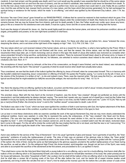mankind. A man had sinned, and the penalty was death; and if our Lord would pay the penalty it was essential that he should be of the same nature (but undefiled, separate from sin and from the race of sinners), and die as Adam's substitute, else mankind could never be liberated from death. To do this the man Jesus made sacrifice "of all that he had"--glory as a perfect man, honor as a perfect man could claim it, and, finally, life as a perfect man. And this was all that he had, (except God's promise of a new nature, and the hope which that promise generated); for he had exchanged his spiritual being or existence for the human, which he made "a sin-offering," and which was typified by the Atonement Day bullock. John 1:14; Isa. 53:10

But since "the man Christ Jesus" gave himself as our RANSOM-PRICE, it follows that he cannot be restored to that manhood which he gave. If he were to take back the ransom-price, we, the redeemed, would again relapse under the condemnation of death. But, thanks be to God, his sacrifice remains forever, that we may be forever free from Adamic guilt and its death penalty. If, then, the Father would ever confer upon Jesus any honor, glory or life as a reward for his obedience even unto death, it must be a glory, honor and life on some other plane of being than the human.

Such was the design of Jehovah for Jesus, viz., that he would highly exalt him above the human plane, and above his prehuman condition; above all angels, principalities and powers, to his own right hand (condition of chief favor,

T53

next to Jehovah) and make him a partaker of immortality-- the divine nature. For these and other joys set before him, Jesus "endured the cross, despising the shame, and is set down at the right hand of the majesty on high." Heb. 12:2; Phil. 2:9; Heb. 1:3,4

The new nature which our Lord received instead of the human nature, and as a reward for its sacrifice, is what is here typified by the Priest. While it is true that the sacrifice of the human was not finished until the cross, and that the reward, the divine nature, was not fully received until the resurrection three days later, yet, in God's reckoning--and as shown in this type--the death of Jesus (the bullock) was reckoned as complete when Jesus presented himself a living sacrifice, symbolizing his death in baptism. There he reckoned himself dead--dead to all human aims, to hopes of human glory, honor or life--in the same sense that we, his followers, are exhorted to reckon ourselves dead indeed to the world, but alive as new creatures unto God. Rom. 6:11

This acceptance of Jesus' sacrifice by Jehovah, at the time of his consecration, as though it were finished, and he dead indeed, was indicated by the anointing with the holy Spirit--"the earnest" or guaranty of what he would receive when death had actually taken place.

Thus considered, we see that the death of the bullock typified the offering by Jesus of himself, when he consecrated himself. This is in harmony with the Apostle's statement respecting Jesus' consecration or offering of himself. He quotes the Prophet, saying, "Lo I come to do thy will, O God, as in the volume of the Scriptures it is written of me"-- to die and redeem many. There, says the inspired writer, "He took away the first [i.e., set aside the typical sacrifices] that he might establish [or fulfil] the second [the antitype, the real sacrifice for sins]." Heb. 10:7,9,14

T54

Yes; there the slaying of the sin-offering, typified by the bullock, occurred; and the three years and a half of Jesus' ministry showed that all human will was dead, and the human body reckoned so, from the moment of consecration.

The anointed Jesus, filled with the holy Spirit at the moment of baptism, was the divine "new creature" (though not perfected as divine until the resurrection): and that relationship he always claimed, saying, "The words that I speak unto you I speak not of myself [as a man] but the Father that dwelleth in me [by his Spirit], he doeth the works. The word which ye hear is not mine, but the Father's which sent me." (John 14:10,24) "Not my will [as a man] but thine [Father--the divine] be done" in and to this "earthen vessel" consecrated to death. Luke 22:42

The Bullock was slain in the "Court," which we have seen typified the condition of faith in and harmony with God, the highest attainment of the flesh, the human nature. Jesus was in this condition, a perfect man, when he offered himself (the bullock in the type) to God.

Let us bear in mind these distinctions while we examine carefully the work of the typical Atonement Day, that we may more clearly understand the antitypical realities. Aaron was washed, in order fitly to represent the purity, the sinlessness, of the "new creature"--the Head and his Bodymembers. ("No one who has been begotten by God practices sin; because his seed abides in him, and he cannot sin because he has been begotten by God." 1 John 3:9,Diaglott) The new creature cannot sin, and its duty is to keep a constant watch over the old nature, reckoned dead, lest it come to life again. For the old will to divide the control with the new implies that the old is not dead, and that the new is not "overcoming." For the old to triumph would signify the death of the "new creature"--"Second Death."

#### T55

Aaron was clothed for the service of the "Day of Atonement," not in his usual "garments of glory and beauty," but in garments of sacrifice, the "linen garments," emblems of purity--the righteousness of saints. The robe of linen was an earnest of the glorious robe to follow; the "linen girdle" represented him as a servant, though not so powerful as when, at the close of the "Day of Atonement," he would be girdled with the "curious girdle" of the ephod; the mitre of linen, being the same as that belonging to the glorious apparel, proclaims the perfect righteousness of our Head during the sacrifice, as well as after it. So the antitypical High Priest, the divine-minded, spirit-begotten one, though not yet born of the Spirit, was ready and able to accomplish the sacrifice of the atonement at the first advent, and proceeded to do it, as typified in Aaron.

"Thus shall Aaron come into the Holy [and Most Holy] with a young bullock for a sin-offering, and a ram for a burnt-offering. And Aaron shall offer his bullock of the sin-offering which is for [represents] himself, and make an atonement for himself [the members of his body--the under-priests] and for his house [all believers, the entire "household of faith"--the Levites]. And he shall kill the bullock of the sin-offering which is for [represents] himself. And he shall take a censer full of burning coals of fire from off the altar before the Lord, and his hands full of sweet incense beaten small [powdered], and bring it within the veil [the first veil or "door"]. And he shall put the incense upon the fire before the Lord [the censer of coals of fire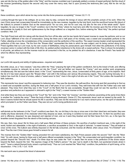was set into the top of the golden altar in the "Holy," and the incense crumbled over it gradually yielded a smoke of sweet perfume], that the cloud of the incense [penetrating beyond the second veil] may cover the mercy seat, that is upon [covers] the testimony [the Law], that he die not [by infracting

#### T56

these conditions, upon which alone he may come into the divine presence acceptably]." Verses 3,6,11-13

Looking through the type to the antitype, let us now, step by step, compare the doings of Jesus with this prophetic picture of his work. When the man Christ Jesus had consecrated himself he immediately, as the new creature, begotten by the holy Spirit, took the sacrificed human life (blood of the bullock) to present it before God as the ransom-price "for our sins, and not for ours only, but also for the sins of the whole world." Spiritbegotten, he was no longer in the "Court" condition, but in the first "Holy," where he must tarry and offer his incense upon the fire of trial--he must demonstrate his loyalty to God and righteousness by the things suffered as a begotten Son, before entering the "Most Holy," the perfect spiritual condition. Heb. 5:8

The High Priest took with him (along with the blood) fire from off the altar, and his two hands full of sweet incense to cause the perfume; and so our Lord Jesus' fulfilment of his vow of consecration, during the three and a half years of his ministry, was a sweet and acceptable perfume to the Father, attesting at once the completeness of the consecration and the perfection of the sacrifice. The sweet incense beaten small represented the perfection of the man Jesus. The fire from the "Brazen Altar" represented the trials to which he was subject; and its being carried along by the Priest signifies that our Lord must, by his own course of faithfulness, bring his persecutions upon himself. And when the perfections of his being (incense) came in contact with the trials of life (fire), he yielded perfect obedience to the divine will--a sweet perfume. Thus is shown his temptation in all points, yet without sin. As the incense must be all consumed in the fire, so he yielded his all in obedience. It was the Priest's "two hands full" which he offered, thus representing

#### T57

our Lord's full capacity and ability of righteousness-- required and yielded.

But while Jesus, as a "new creature," was thus within the "Holy," enjoying the light of the golden candlestick, fed by the bread of truth, and offering acceptable incense to Jehovah, let us look out into the "Court," and yet farther out, beyond the "Camp," and see another work progressing simultaneously. We last saw the bullock dead, in the "Court," representing the man, Jesus, consecrated at thirty years of age, at his baptism. Now the fat of it has been placed upon the "Brazen Altar," and with it the kidneys and various life-producing organs. They are burning furiously, for a bullock has much fat. A cloud of smoke, called a "sweet savor to God," rises in the sight of all who are in the "Court," the Levites--the household of faith, believers.

This represents how Jesus' sacrifice appeared to believing men. They saw the devotion, the self-sacrifice, the loving zeal (fat) ascending to God as a sweet and acceptable sacrifice, during the three and a half years of our Lord's ministry. They well knew that with him the Father was ever well pleased. They knew from what they saw in the "Court" (in the flesh) that he was acceptable, though they could not see the sacrifice in its full grandeur and perfection as it appeared in Jehovah's sight (in the "Holy"), a sweet incense on the "Golden Altar."

And while these two fires are burning (in the "Court" the "fat," and in the "Holy" the "incense," and their perfumes ascending at the same time) there is another fire "outside the camp." There the body of flesh is being destroyed. (Verse 27) This represents Jesus' work as viewed by the world. To them it seems foolish that he should spend his life in sacrifice. They see not the necessity for it as man's ransom-price, nor the spirit of obedience which prompted it, as the Father saw these. They see not our Lord's loving perfections and

#### T58

self-denials as the believers (in the "Court" condition) see them. No, nor did they in his day or since see in him their ideal hero and leader; they saw chiefly only those elements of his character which they despise as weak, not being in condition to love and admire him. To them his sacrifice was and is offensive, despised: he was despised and rejected of men, and as it were they blushed and hid their faces from him, as, in the type the Israelites turned disgusted from the stench of the burning carcass.

We see, then, how Jesus' life for three and a half years filled all three of these pictures: His sacrifice of perfect manhood was, in the sight of the world, foolish and detestable; in the sight of believers, a sacrifice acceptable to God; in the sight of Jehovah, "a sweet incense." They all ended at once--at the cross. The bullock was entirely disposed of, the fat fully consumed, and the incense all offered, when Jesus cried, "It is finished!" and died. Thus the man Christ Jesus gave himself a ransom for all.

The incense from the "Golden Altar" having preceded him and been satisfactory, the High Priest passed under the second "Veil" into the "Most Holy." So with Jesus: having for three and a half years offered acceptable incense in the "Holy," the consecrated and spirit-begotten condition, he passed beyond the "Second Veil," death. For three days he was under the "Veil" in death; then he arose in the perfection of the divine nature beyond the flesh, beyond the Veil, "the express image of the Father's person." He was "put to death in the flesh, but quickened [made alive] in spirit," "sown a natural [human] body, raised a spiritual body." Thus our Lord reached the "Most Holy" condition, the perfection of spirit being, at his resurrection. 1 Pet. 3:18; 1 Cor. 15:44

His next work was to present the blood of atonement

#### T59

(verse 14)--the price of our redemption--to God, for "Ye were redeemed...with the precious blood (sacrificed life) of Christ." (1 Pet. 1:19) The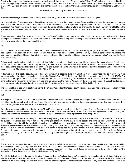Priest, in the presence of Jehovah, represented by the Shekinah light between the Cherubim on the "Mercy Seat," sprinkled or presented the blood to Jehovah--sprinkling it on and before the Mercy Seat. So our Lord Jesus, after forty days, ascended up on high, "there to appear in the presence of God FOR US," and presented on our behalf, and as the price of our redemption, the value and merit of the sacrifice just finished at Calvary. Heb. 9:24

## The Second Atonement Day Sacrifice - The Lord's Goat

We now leave the High Priest before the "Mercy Seat" while we go out to the Court to witness another work. We quote:

"And he shall take of the congregation of the children of Israel two kids of the goats for a sin-offering. And he shall take the two goats and present them before the Lord at the door of the Tabernacle. And Aaron shall cast lots upon the two goats; one lot for the Lord and the other for the scapegoat. And Aaron shall bring the goat upon which the Lord's lot fell and offer him for a sin-offering. But the goat on which the lot fell to be the scape-goat shall be presented alive before the Lord to make an atonement with him, to let him go for a scape-goat into the wilderness." Verses 5- 10

These two goats, taken from Israel and brought into the "Court," typified or represented all who, coming from the world, and accepting Jesus' redemption, fully consecrate their lives even unto death, to God's service, during this Gospel age. First taken from the "Camp" or world condition, "sinners, even as others," they were brought into the

T60

"Court," the faith or justified condition. There they present themselves before the Lord (represented by the goats at the door of the Tabernacle), desiring to become dead with their Redeemer, Christ Jesus, as human beings; and to enter the heavenly or spiritual conditions as he did: first, the spirit-begotten condition of the spiritual mind, and secondly, the spirit-born condition of the spiritual body--represented in the "Holy" and the "Most Holy," respectively.

But our Master declares that not all who say, Lord! Lord! shall enter into the Kingdom; so, too, this type shows that some who say, "Lord, here I consecrate my all," promise more than they are willing to perform. They know not what they promise, or what it costs of self-denial, to take up the cross daily and to follow the footsteps of the man Jesus [the bullock]--to "go to him without the camp [to the utter disregard and destruction of the human hopes, etc.] bearing the reproach with him." Heb. 13:13

In this type of the two goats, both classes of those who covenant to become dead with Christ are represented: those who do really follow in his footsteps, as he hath set us an example, and those who, "through fear of [this] death are all their lifetime subject to bondage." (Heb. 2:15) The first class is the "Lord's goat," the second is the "scape-goat." Both of these classes of goats, as we shall see, will have a part in the atonement work--in bringing the world into complete harmony with God and his Law, when this "Day of Atonement," the Gospel age, is ended. But only the first class, "the Lord's goat," who follow the Leader, are a part of the "sin-offering," and ultimately members of his glorified Body.

The casting of lots to see which goat would be the "Lord's goat" and which the "scape-goat," indicated that God has no choice as to which of those who present themselves shall

#### T61

win the prize. It shows that God does not arbitrarily determine which of the consecrated shall become partakers of the divine nature, and joint-heirs with Christ our Lord, and which shall not. Those who suffer with him shall reign with him: those who succeed in avoiding the fiery trials, by a compromising course, miss also the joint-heirship in glory. Rom. 8:17

Every believer, every justified one (Levite) in the "Court," who presents himself during the Atonement Day, the Gospel age, is acceptable as a sacrifice--Now is the acceptable time. And he who keeps his covenant and performs the sacrifice is typically represented in the "Lord's goat." Those who do not yield themselves willing sacrifices, "loving the present world," are represented in the "scape-goat."

To return to the High Priest: After having sprinkled the "Mercy Seat" (literally, the Propitiatory, or place where satisfaction is made) with the blood of the bullock seven times (perfectly), "Then shall he kill the goat of the sin-offering, that is for the people, and bring his blood within the Veil, and do with that blood as he did with the blood of the bullock, and sprinkle it upon the Mercy Seat and before the Mercy Seat." (Verses 14,15) In a word, all that was done with the bullock was repeated with the "Lord's goat." It was killed by the same High Priest; its blood was sprinkled just the same; its fat, etc., were burned on the altar in the "Court" also. (It is worthy of notice that while a prime bullock is always very fat, a goat is a very lean animal. So our Lord Jesus, as represented by the bullock, had a great abundance of the fat, of zeal and love for his sacrifice, while his followers, represented by the goat, are lean in comparison.) The body of the "Lord's goat" was burned in like manner as that of the bullock--"outside the camp."

#### T62

The Apostle Paul explains that only those animals which were sin-offerings were burned outside the camp. And then he adds, "Let us go to him, without the camp bearing the reproach with him." (Heb. 13:11-13) Thus is furnished unquestionable evidence not only that the followers of Jesus are represented by this "Lord's goat," but also that their sacrifice, reckoned in with their Head, Jesus, constitutes part of the world's sin-offering. "The reproaches of them that reproached thee are fallen upon me." Psa. 69:9

As with the bullock so with the goat in the sin-offerings: the burning "outside the camp" represents the dis-esteem in which the offering will be viewed by those outside the camp--not in convenant relationship with God--the unfaithful. (1) Those who recognize the sacrifice of the Body of Christ from the divine standpoint, as sweet incense to God, penetrating even to the mercy seat, are but few--only those who are themselves in the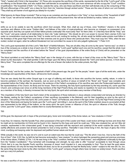"Holy"--"seated with Christ in the heavenlies." (2) Those who recognize the sacrifices of the saints, represented by the fat of the "Lord's goat" of the sin-offering on the BrazenAltar, and who realize their self-denials as acceptable to God, are more numerous--all who occupy the "Court" condition of justification--"the household of faith." (3) Those, outside the camp, who see these sacrificers and their self-denials only as the consuming of "the filth and offscourings of the earth" are a class far from God--his "enemies through wicked works." Those are the ones of whom our Lord foretold, "They shall say all manner of evil against you falsely for my sake."

What lessons do these things inculcate? That so long as we ourselves are true sacrificers in the "Holy," or true members of the "household of faith" in the "Court," we will not be revilers of any that are true sacrificers of this present time. Nor will we be blinded by malice, hatred, envy or

#### T63

strife--so as to be unable to see the sacrifices which God accepts. What, then, shall we say of those, once "brethren," sharers in the same sacrifices and offerers at the same "Golden Altar," and fellows of the order of royal-priesthood, who become so changed, so possessed of an opposite spirit, that they can speak evil of their fellow-priests continually! We must surely "fear" for them (Heb. 4:1) that they have left the "Holy," and the "Court," and gone outside of all relationship to God--into "outer darkness." We should do all in our power to recover them (James 5:20); but under no consideration must we leave the "Holy" to render evil for evil, reviling for reviling. No, all who would be faithful under-priests must follow in the footsteps of the great High Priest and love their enemies and do good to those who persecute them. They must copy him "Who, when he was reviled, reviled not again, when he suffered threatened not; but committed his cause to him who judgeth righteously." 1 Peter 2:23

The Lord's goat represented all of the Lord's "little flock" of faithful followers. They are all alike; they all come by the same "narrow way"; so what is true of the company as a whole is true of each one of it. Therefore the "Lord's goat" typified each one and his sacrifice, except that the whole must be completed and the sacrifice of all ended before the "blood" of the goat (representative of the entire Body of Christ) will be presented on the "Mercy Seat."

The blood sprinkled on and before the "Mercy Seat" was in the design of a cross, with the top or head of the cross on the "Mercy Seat." This is shown by the description: "He shall sprinkle it with his finger upon the Mercy Seat eastward [toward the "Veil"] and before [across, in front of] the Mercy Seat." Thus were completed the sin-offerings for the sins of Israel--the bullock for the under-priests, the High

#### T64

Priest's "body," and for the Levites, the "household of faith" of the present age; the goat "for the people," Israel-- type of all the world who, under the knowledge and opportunities of the future, will become God's people.

Thus we see clearly that this entire Gospel age is an age of suffering and death, to those who sacrifice the human, earthly, nature, in order to become partakers of the spiritual, the heavenly. Just as soon as the sacrifice of Jesus on behalf of his "Body" and "house" was complete and presented before the Father after his ascension, the evidence of the Father's acceptance of his sacrifice was sent--the Pentecostal baptism upon the representatives of his Church, his Body and his house. There his anointing, the holy Spirit (symbolized by the holy anointing oil), came upon the Church, and continues ever since on all the living members of the High Priest's Body, and needs no repetition: for each one immersed into Christ, as a member of his Body, is thereby immersed into his holy Spirit, the spirit which animates every member of that Body.

This impartation of the holy Spirit was God's token of the acceptance of those believers in Jesus already consecrated and tarrying as directed by the Master, waiting for the Father's acceptance of their sacrifices (acceptable in the Beloved), and for their begetting as sons by the spirit of adoption. This coming of the holy Spirit, the Lord's power or "hand," at Pentecost, was shown in the type (verse 15) by the High Priest coming to the door of the Tabernacle and laying his hands upon the "Lord's goat" and killing it. Just as the spirit of the Father enabled Jesus to accomplish all that was represented by the killing of the bullock, so the same spirit, the spirit, power or influence of God, the spirit or influence of the Truth, through Christ, upon the "Lord's goat" class, enables them to crucify themselves as men--to

#### T65

kill the goat, the depraved will--in hope of the promised glory, honor and immortality of the divine nature, as "new creatures in Christ."

It was thus, for instance, that the Apostle Paul, when possessed of the spirit of the Leader and Head, could reckon all things but loss and dross that he might win [a membership in] Christ and be found in him. Inspired by this hope and spirit he could say: "I [the new creature] live, yet not I [the old creature, represented in the consecrated goat]." It was being consumed with the reproach and contempt of the world--outside the camp. Paul's earthly affections and powers had all been presented to God a living sacrifice. Thereafter it was Christ living in him, the hope of glory--the Christ mind, crucifying and keeping under his depraved and justified human nature and its will.

While actually in the world, he was not of it; and to such an extent was this true that he could say: "The life which I now live, I live by the faith of the Son of God." (Gal. 2:20) Yes, by faith he had become reckonedly a "new creature," to whom belonged the exceeding great and precious promises of the divine nature, if faithful. (2 Pet. 1:4) He was living in the "Holy" condition, feeding on the "shew-bread," and enlightened continually by the light from the "Golden Candlestick." Thus furnished with knowledge and strength, he was able to offer "incense" acceptable to God through Jesus Christ; that is to say, the Apostle Paul's sacrifice, because of Jesus' merit imputed to it, was acceptable to God. Thus he kept the goat nature always sacrificed; not only did he keep the fleshly will dead, but so far as possible he kept the fleshly body "under"--subject to the new will. So, too, the same thing has been done by the other members of this "Lord's goat" company, though others have not been so widely known. Paul's sacrifice sent up a very rich perfume;

#### T66

his was a sacrifice of very sweet odor to God, yet like ours it was acceptable to God, not on account of its own value, but because of being offered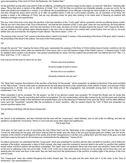upon and partaking of the merit of Christ, the Redeemer, the "Golden Altar."

As the goat filled up that which was behind of the sin-offering, completing the sacrifice begun by the bullock, so does the "little flock," following after Jesus, "fill up that which is behind of the afflictions of Christ." (Col. 1:24) Not that our sacrifices are inherently valuable, as was our Lord's, for he alone was perfect and suitable for a ransom, a sin-offering: the acceptableness of our offerings is through his merit imputed to us, first justifying us: and then, through the grace which permits us to offer our justified selves in with our Lord's perfect sacrifice, we, as members of his Body, are granted a share in the sufferings of Christ, that we may ultimately share his glory also--sharing in his future work of blessing all mankind with restitution privileges and opportunities.

The hour must some time come when the sacrifice of the last members of this "Lord's goat" will be consumed and the sin-offering forever ended. That we are now in the close of the "Day of Atonement," and that the last members of this "Lord's goat" class are now sacrificing, we firmly believe, upon evidences elsewhere given. Soon the last members of this class, the Body of Christ, will pass beyond the second "Veil"--beyond the flesh- into the perfection of the spiritual nature already begun in the new mind or will which now controls their mortal bodies. And not only so, but such faithful ones are promised the very highest of spirit natures--"the divine nature." 2 Pet. 1:4

The passing of the second "Veil" means to the Body what it meant to the Head: it means, in the presenting of the blood of the goat, what it meant in the presenting of the blood of the bullock. The body of the Priest passing

#### T67

through the second "Veil," bearing the blood of the goat, represented the passing of the Body of Christ entirely beyond human conditions into the perfection of the divine nature, when we shall be like Christ Jesus, who is now "the express image of the Father's person." O blessed hope! "I shall be satisfied when I awake in thy likeness," was spoken prophetically for Jesus; and how sublime the promise that "we shall be like him!" Heb. 1:3; Rom. 8:29; Psa. 17:15; 1 John 3:2

If we may but win the prize for which we run, then

"Perish every fond amibition,

All we've sought of earth or known;

Yet how rich is our condition--

Heavenly prospects now we own."

The "Most Holy" reached, the evidence of the sacrifice of the Body "for the people," will be presented, as typified by the blood of the goat sprinkled on the "Mercy Seat." "And he shall make an atonement for the holy place because of the uncleanness of the children of Israel, and because of their transgressions in all their sins; and so shall he do for the tabernacle of the congregation, that remaineth among them in the midst of their uncleanness." Lev. 16:16

When presented it will be accepted "for the people," as that of our glorious Leader was accepted "for himself [his Body], and his house [the household of faith]." Thus the reconciling work will be accomplished. Sin and condemnation will be fully covered for all, and the great work of giving to the world the grand results of that atonement will speedily follow--just as the blessing of Pentecost came upon the "Body" and its reflex influence came upon the "household," speedily after the acceptance of Jesus' sacrifice-- after he passed beyond the "Veil" of flesh and presented our ransom-sacrifice before God.

The sprinkling of all things with the blood showed that

T68

the "blood" is full satisfaction, and also indicated that the work with the "scape-goat," which followed, was no part of the sin-offering, and was not needful to complete the "reconciling." Hence in it we must see some other object and significance.

The Scape-Goat

"And when he had made an end of reconciling the Holy ["Most Holy"] and the Tabernacle of the congregation [the "Holy"] and the Altar [in the "Court"] he shall bring the live goat; and Aaron shall lay both his hands upon the head of the live goat [scape-goat] and confess over him all the iniquities of the children of Israel [typical of the world], and all their transgressions in all their sins, putting them upon the head of the goat, and shall send them away by the hand of a fit man [any one convenient] into the wilderness." Verses 20-22

As before expressed, we understand that this "scape-goat" which was presented for sacrifice with the other, but failed to sacrifice, and to follow the example of the bullock, represented a class of God's people, who have made the covenant to become dead to the world, to sacrifice their justified human nature, but fail to perform the sacrifices covenanted. This "goat" does not represent "those who draw back unto perdition," those who return as the sow to wallowing in the mire of sin (Heb. 10:39; 2 Pet. 2:22), but a class which seeks to avoid sin, to live morally, and to honor the Lord; yet seeking also the honor and favor of the world, they are held back from the performance of the sacrifice of earthly rights in the service of the Lord and his cause.

This "scape-goat" class has existed throughout this entire Gospel age. The one goat and the work done with it, at the close of the "Day of Atonement," was representative in a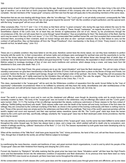T69

general sense of each individual of that company during the age, though it specially represented the members of this class living in the end of the age of sacrifice. Let us look first at God's proposed dealing with members of this company who will be living when the work of sin-offering is complete-- the last members of the "scape-goat" company--and then see how the type will apply also to the preceding members of the same class.

Remember that we are now dealing with things future, after the "sin-offerings." The "Lord's goat" is not yet wholly consumed, consequently the "little flock," represented by the body of the Priest, has not yet gone beyond the second "Veil" into the condition of spirit perfection; and the special work with the living "scape-goat" will not occur until after that.

Other scriptures (Rev. 7:9,13-17 and 1 Cor. 3:15) show us that there will be "a great company" who during this age have entered the race for the grand prize of joint-heirship with Jesus, and who fail to "so run" as to obtain it. These, though "castaways," as regards the prize (1 Cor. 9:27), are nevertheless objects of the Lord's love; for at heart they are friends of righteousness and not of sin. Hence, by his providences through the circumstances of life, the Lord will cause them to come through "great tribulation," thus accomplishing for them "the destruction of the flesh, that the spirit may be saved in the day of the Lord Jesus." (1 Cor. 5:5) They consecrated their justified human life, and God accepted that consecration and reckoned them, according to their covenant, dead as human beings and alive as new-- spiritual--creatures. But, by their failure to carry out the contract of self-sacrifice, they cut themselves off from the "Royal Priesthood"--from membership in the Body of Christ. "Every branch in me that beareth not fruit, he taketh away." John 15:2

#### T70

These are in a pitiable condition: they have failed to win the prize, therefore cannot have the divine nature; nor can they have restitution to perfect humanity with the world; for, in their consecration, all human rights and privileges were exchanged for spiritual ones and the opportunity to run the race for the divine nature. But though not voluntary overcomers, the Lord loves them, and will deliver those who through fear of death (fear of contempt--fear of the reproach borne by the bullock and goat beyond the "Camp"--in the wilderness, the separated or dead condition) were all their lifetime subject to bondage--bondage of fear of men and men's traditions and opinions, which always bring a snare, and keep back from full obedience to God, even unto death. Heb. 2:15

Through the favor of the High Priest, this great company are to go into "great tribulation" and have the flesh destroyed. This will not make of them voluntary overcomers nor give them membership in the Body--the Bride of Christ. It will not give them a place on the throne of Kings and Priests, but a position "before the throne," as perfect spirit beings, though not of the highest order of the spiritual-- the divine. Though they will not possess the crown of life, Immortality, yet if rightly exercised by the tribulation they will attain to a condition "like unto the angels." They will serve God in his Temple, though they will not be members of that symbolic Temple which is the Christ. Rev. 7:14,15

This class, represented in the "scape-goat," will be sent into the Wilderness condition of separation from the world, forced thither by the "man of opportunity"--unfavorable circumstances--there to be buffeted by adversity until they learn the vanity, deceitfulness and utter worthlessness of the world's approval, and until all human hopes and ambitions die, and they are ready to say, God's will, not mine, be

#### T71

done! The world is ever ready to scorn and to cast out the chastened and afflicted, even though its deceiving smile and its empty honors be earnestly coveted by them. The body of the "scape-goat" was not burned in the wilderness: only sin-offerings (the bullock and the "Lord's goat") were burned. (Heb. 13:11) The burning of the sin-offerings represented the steady, continuous submission of those classes to the fiery ordeal of suffering--"faithful [willing sacrifices] unto death." Both classes suffer even unto the death of the human will and body; but those of the first class die willingly: they are consumed by the continual crucifying of the flesh, as shown in the symbol of fire burning continuously until there is nothing more to burn. Those of the second class are simply sent to the wilderness and there left to die unwillingly. Their love of the world's approval perishes with the world's neglect and scorn and reproach; and their new spiritual nature meantime ripens into life. The "Lord's goat" class lays down the human nature by the Lord's spirit and help, sacrificially, willingly, voluntarily: the "scape-goat" class has its flesh destroyed under divine providence, that the spirit may be saved.

Not only will this be markedly accomplished shortly, with the last members of this "scape-goat" class, but the same has been fulfilled to some extent throughout the entire Gospel age; for there has always been a class, and a large one, which yielded self-will to death only by compulsion; and, instead of willingly sacrificing, suffered "destruction of the flesh." (1 Cor. 5:5) The classes represented by both goats have been developing side by side throughout the age.

When all the members of the "little flock" shall have gone beyond the "Veil," divine providence, the hand of the Lord, will set free those bound ones, "who, through fear of death [to the world], are all their lifetime subject to bondage,"

#### T72

by overthrowing the many theories, creeds and traditions of men, and great nominal church organizations, in and to and by which his people of the "scape-goat" class are held--hindered from hearing and obeying the Lord's voice.

Forced into freedom by "Babylon's" fall while realizing that the great prize has been lost, these "tribulation saints" will then hear the High Priest's voice and find themselves forced into the wilderness condition of separation and flesh destruction. At no previous time have there been so many CONSECRATED ones bound as at present; yet there have been some throughout the entire age.

All the consecrated ones of both classes (the Lord's goat class and the scape-goat class) pass through great trials and afflictions; yet by one class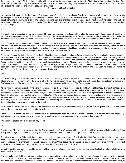they are esteemed light afflictions, taken joyfully, which they rejoice to be accounted worthy to suffer. Theirs is a willing sacrifice, like that of the Head. To the other class they are burdensome, great afflictions, almost without joy--an enforced destruction of the flesh. And proportionately different are their positions and rewards at the end of the race.

## The Atonement Day Burnt-Offerings

"And Aaron shall come into the Tabernacle of the congregation [the "Holy"] and shall put off the linen garments which he put on when he went into the Holy place [the "Most Holy"] and he shall leave them there; and he shall wash his flesh with water in the holy place [the "Court"] and put on his [usual] garments [the garments of glory and beauty] and come forth and offer his burnt-offering and the burnt-offering of the people, and make an atonement for himself [the Body--the Church--the "little flock"] and for the people" (Lev. 16:23,24), the same atonement illustrated or typified from another standpoint.

T73

The burnt-offering consisted of two rams (verses 3,5), one representing the bullock and the other the Lord's goat. These, being alike, show the harmony and oneness of the sacrifices made by Jesus and his footstep-followers--that in God's sight they are all one sacrifice. "For both he that sanctifieth [Jesus] and they who are sanctified [the little flock] are all of one; for which cause he is not ashamed to call them brethren." Heb. 2:11

This is further shown in the treatment of each of these sacrifices. The rams of "burnt-offering" were cut in pieces and washed and the pieces laid unto the head upon the altar and burned--a burnt-offering of sweet savor unto Jehovah. Since both rams were thus treated, it showed that in Jehovah's estimation they were all parts of one sacrifice; the members joined to the Head, acceptable as a whole, as the atonement for the sins of the world--thus satisfying the claims of justice on behalf of the whole world of sinners.

As the sin-offerings illustrated the sacrificial death of the Redeemer, so the burnt-offering following illustrated God's manifested acceptance of the same sacrifice. Let us not forget that God thus indicates that he will not manifest his acceptance of the "better sacrifices" than bulls and goats, until the sacrifices for sins are complete, and the true High Priest is robed in the honor and glory of his office, represented in the change of garments. During the time of making the sin-offering he wore only the white linen garments. Afterward (and usually) he wore the glorious garments illustrative of the honor and glory conferred upon him. During the Gospel age the sin-offerings progress and no honor is bestowed upon the priests, but at its close comes the outward manifestation of God's approval and acceptance of them in the putting of glory and honor upon the priests who made the sacrifices, and in the blessing of the people, for whose sins they atoned.

T74

The burnt-offering was burned on the altar in the "Court," thus teaching that God will manifest his acceptance of the sacrifice of the whole Body (Head and pieces, or members) in the sight of all in the "Court" condition, namely, to all believers. But before this manifestation to believers of God's acceptance of the work, the "scape-goat" company is sent away, and the robes of the Priest changed.

As the white robes worn throughout the work of sacrifice covered the Body and represented the justification of the Body, their purity in God's sight through Christ, so the "garments of glory and beauty," put on subsequently, represent the glories of the Church's position and work in the future, after the new creatures shall have been perfected, after they shall have gone beyond the "Veil." The washing with water at this time signifies that, though the white garments (imputed righteousness of the "Body") are now removed, it does not signify the reimputation of sin, but the completion of the cleansing, making the "Body" perfect in resurrection completeness--the garments of glory and beauty representing the glory, honor and immortality of the First Resurrection to the divine nature. The washing further shows that the sins of the people for which atonement had been made do not attach to or contaminate the purity of the priest.

Thus ended this type of the development of the priesthood and the satisfaction for the world's sins: but we tarry to glance at a few verses of this chapter (Lev. 16) not so directly connected with our topic.

Verse 17. "There shall be no man in the tabernacle of the congregation when he goeth in to make an atonement in the holy place [the "Most Holy"] until he come out, and have made an atonement for himself and for his household, and for all the congregation of Israel."

This limitation applies only to this special day, for the

## T75

Apostle says--"The priests went always into the first tabernacle [the "Holy"] accomplishing the service, but into the second [tabernacle--the "Most Holy"] went the high priest alone, once every year" on this "Day of Atonement," which was repeated annually. Heb. 9:7

The privileges of the true Tabernacle belong only to those who are priests--members of the Body of the High Priest--so that whether, as now, in the first of these heavenly conditions (spiritually minded, new creatures in Christ Jesus), or whether, as we hope to be soon, in the second or perfected spirit condition, it will in either or both cases be because we are in Christ Jesus, new creatures--no longer men. "For ye are not in the flesh [human], but in the spirit [spiritual, new creatures] if so be that the spirit of God dwell in you." Rom. 8:9

Verse 28. "And he that burneth them [the bullock and the goat of sin-offering] shall wash his clothes, and bathe his flesh in water, and afterward he shall come into the camp."

This seems to teach that those principally instrumental in reproaching, reviling and destroying the humanity of Jesus (the bullock) and the humanity of his "little flock" (the goat) will have no special punishment for it, because they do it ignorantly--at the same time accomplishing God's plan. They may wash and be clean and come into the camp--i.e., into the same condition as the remainder of the world, all of whom are by heredity sinners, all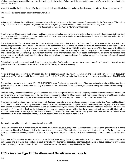of whom have been ransomed from Adamic depravity and death, and all of whom await the return of the great High Priest and the blessing then to be extended to all.

Verse 26. "And he that let go the goat for the scape-goat shall wash his clothes and bathe his flesh in water, and afterward come into the camp."

This teaches the same lesson relative to those who will be

T76

instrumental in bringing the trouble and consequent destruction of the flesh upon the "great company" represented by the "scape-goat." They will be obliged to obtain of the Lord special forgiveness for these wrongdoings, but eventually shall stand on the same footing as other men. The Blessings Following the "Day of Atonement" Sacrifices

Thus the typical "Day of Atonement" ended; and Israel, thus typically cleansed from sin, was reckoned no longer defiled and separated from God, but now at one with him. Justice no longer condemned, but bade them realize God's reconciled presence in their midst, to bless and protect and direct into the Canaan of rest and peace.

The antitype of the "Day of Atonement" is this Gospel age, during which Jesus and "his Body," the Church (by virtue of the redemption and consequent justification), make sacrifice to Justice, in full satisfaction of the Adamic sin. When the work of reconciliation is complete, God will recognize the world of mankind, and place his sanctuary among men. Then will be fulfilled that which was written: "The Tabernacle of God [God's dwelling, the glorified Church] is with men, and he will dwell with them, and they shall be [become] his people, and God himself shall be with them and be their God.And God shall wipe away all tears from their eyes; and there shall be no more death, neither sorrow, nor crying, neither shall there be any more pain, for the former things [the reign of Satan, sin and death] are passed away. And he that sat upon the throne said, Behold, I make all things new." Rev. 21:3-5

But while all these blessings will result from the establishment of God's residence, or sanctuary, among men ("I will make the place of my feet glorious"--"earth is my footstool"-- Isa. 60:13; 66:1), yet the subsequent work of blessing

T77

will be a gradual one, requiring the Millennial age for its accomplishment; i.e., Adamic death, pain and tears will be in process of destruction (wiping away). This will begin with the second coming of Christ, the Royal Priest, but will not be completely wiped away until the end of the Millennial age.

The gradual process by which MAN WILL BE BROUGHT into perfection of being and fulness of harmony with Jehovah is well illustrated in the typical sacrifices of Israel, made after the "Day of Atonement," the antitypes of which sacrifices, as we shall shortly see, will be fulfilled during the Millennium.

To divide rightly and understand these typical sacrifices, it must be recognized that the present Gospel age is the "Day of Atonement" toward God for the general sin of mankind; and that in the type all sacrifices coming after the "Day of Atonement" represented fulfilments or antitypes due after the Gospel age is ended--during the Millennial age--when the world of sinners may become reconciled to, or at-one with, God.

Thus we may see that at-one-ment has two parts--first, Justice at-one with, and not any longer condemning and destroying, Adam and his children on account of his sin; and secondly, the return of the sinner to at-one-ment with God's righteous laws, recognizing and obeying them. The first of these phases of at-one-ment, or reconciliation, is brought about entirely by the Priest's service in the "Day of Atonement" sacrifices. The other--the reconciling of the world to God, or the bringing of as many of mankind as are willing into full at-one-ment and harmony with God, will be accomplished during the next age, by the "Royal Priesthood," the glorified kings and priests, who, typified by Moses, will be the Great Prophet whom the Lord will raise up to teach and to govern the people; and if they will not give heed to him

T78

they shall be cut off from life--die the second death. Acts 3:23

Let it be clearly seen, however, that although the saints, the followers of Jesus, are permitted, as represented in the "Lord's goat," to share in and to be members of the sin-offering on behalf of the world, this is not because of their being by nature purer or better than the world; for the entire race of Adam was condemned in him; and of them "there is none righteous, no, not one" (Rom. 3:10), and none could give a ransom for his brother. Psa. 49:7

They share in the sacrifice for sins as a favor, in order that by so doing they may share with Jesus the promised divine nature, and be his companions and joint-heirs. To permit and to enable them to offer themselves acceptable sacrifices, the benefits of Jesus' death were first applied to them, justifying or cleansing them. Thus it is his death that blesses the world, through his Body, the Church.

# **T079 - Another Type Of The Atonement Sacrifices--Leviticus Ix**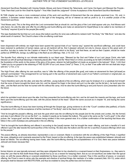#### ANOTHER TYPE OF THE ATONEMENT SACRIFICES--LEVITICUS IX

Atonement Sacrifices Restated with Varying Details--Moses and Aaron Entered the Tabernacle, and Came Out Again and Blessed the People-- "Unto Them that Look for Him Shall He Appear"--"And After Death the Judgment"--Divine Acceptance of the Atonement Sacrifice Manifested.

IN THIS chapter we have a more condensed picture of the work and sacrifices of Atonement than the one already examined (Lev. 16), and, in addition, it furnishes certain features which, in the light of the foregoing, will be of interest as well as profit to us. It is another picture of the Atonement sacrifices.

"And Moses said, This is the thing which the Lord commanded that ye should do: and the glory of the Lord shall appear unto you. And Moses said unto Aaron, Go unto the altar and offer thy sin-offering and burnt-offering and make an atonement for thyself [those to be called to be members of "his Body" required it] and for the people [the world]."

This type illustrated the fact that our Lord Jesus (the bullock sacrifice for sins) was sufficient to redeem both "his Body," the "little flock," and also the whole world of mankind. The Church's share in the sin-offering could have

#### T80

been dispensed with entirely: we might have been spared the special trials of our "narrow way," spared the sacrificial sufferings, and could have been restored to perfection of human nature, just as all mankind will be. But it pleased Jehovah not only to choose Jesus to this great work of sacrifice, but also to make him the Captain or Head of "the Church which is his Body," and that these, as well as their Captain, should be made perfect as SPIRITUAL beings, by sufferings in the flesh as sin-offerings. Heb. 2:10; Col. 1:24

The Apostle Paul, referring to our intimate relationship to our Head says: "Blessed be the God and Father of our Lord Jesus Christ, who hath blessed us with all spiritual blessings in heavenly places [the "Holy" and the "Most Holy"] in Christ; according as he hath CHOSEN US in him before the foundation of the world--to the praise of the glory of his grace, wherein he hath [justified or] made us accepted in the beloved." (Eph. 1:4,6) God "called you by our gospel to the obtaining of THE GLORY of our Lord Jesus Christ" (2 Thess. 2:14), so that "if we suffer with him we shall also reign with him." 2 Tim. 2:12

The High Priest, after offering his own sacrifice, was to "offer the offering of the people [the goat], and make an atonement for them [all Israel] as Jehovah commanded." This arrangement for our having part in the sacrifice of atonement was a part of our Father's command or original plan, as St. Paul attests. Col. 1:24-26

"Aaron therefore went unto the altar, and slew the calf [Heb., young bullock] of the sin-offering, which was for [instead of or a substitute for] himself. And the sons of Aaron brought the blood unto him, and he dipped his finger in the blood and put it on the altar; but the fat [etc.]...he burnt upon the altar,...and the flesh and the hide he burned with fire without the camp. And he slew the burnt-offering [a ram] and Aaron's sons presented unto him the blood,

#### T81

which he sprinkled round about upon the altar. And they presented the burnt-offering unto him; and he did wash the inwards and the legs, and burnt them upon the burnt-offering upon the altar, with the pieces thereof at the head." (Much the same account as in chapter 16, and having the same significance.)

Thus the burnt-offering of Jesus has been burning all through the Gospel age, giving evidence to all in the "Court" condition (the justified), of God's acceptance of him, and the acceptance of all the members of "his Body"--laid to the Head on the altar.

"And he brought the people's offering, and took the goat which was the sin-offering for the people [not for the priests and Levites, like the former] and slew it and offered it for sin as the first"; i.e., treated it exactly as he treated the bullock. This goat is the same as the "Lord's goat" in the other picture, the "scape-goat" and the other features being omitted in this more general view. It is a further confirmation of the teaching that those who follow in the Lord's footsteps are participants in the sin-offering.

"And he brought the burnt-offering and offered it according to the [usual] manner. And he brought the meat- offering, and took a handful of it and offered it upon the altar beside the burnt-sacrifice of the morning. He slew also the bullock and the ram for a sacrifice of peace-offerings which was for the people."

The peace-offering, as already described, represented a vow or covenant. Made in connection with the sin-offering of the High Priest, it signified the vows, obligations and covenants assumed by the Priest, based on the sin-offering. In the type the peace was established between Jehovah and Israel as follows: The sin-offering having been made, also the burnt-offering showing the acceptableness of it to God, there was peace between Jehovah and Israel, because their

#### T82

former Adamic sin was typically removed; and they were obligated then to live obedient to a covenant based on their forgiveness--i.e., they were to keep the Law--that he that doeth those things should live by (or as a reward for keeping) them. But as our sin-sacrifices are better than the typical ones, so with the peace-offering or covenant established by those sacrifices; it is a better covenant. Thus in this sacrifice of peace, or covenantoffering, the Priest is seen to serve unto the example and shadow of spiritual things--the mediator of a better covenant (Heb. 8:6-13), under which all people shall be blessed with RESTITUTION, and thus be enabled to obey the perfect law and live forever.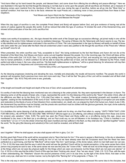"And Aaron lifted up his hand toward the people, and blessed them; and came down from offering the sin-offering and peace-offerings." Here we see illustrated in the type the fact that though the blessing is not fully due to come upon the people until all sacrifices are finished, yet a measure of blessing comes upon mankind from the members of the Priest, even now, during the age of sacrifice, before we all go into the "Most Holy" or spiritual condition. And how true is this to the facts: wherever the royal Priests are, a blessing more or less pronounced flows from these to their neighbors.

"And Moses and Aaron Went into the Tabernacle of the Congregation, and Came Out and Blessed the People"

When this day (age) of sacrifice is over, the complete Priest (Head and Body) will appear before God, and give evidence of having met all the claims of Justice against the people (the world). It will be noticed that while the type of Leviticus 16 divided the work of the Atonement Day, and showed all the particulars of how the Lord's sacrifice first

### T83

makes ours worthy of acceptance, etc., this type showed the entire work of the Gospel age as successive offerings, yet joined really in one--all the sufferings of the entire Christ, followed at once by restitution blessings. The going of Moses into the Tabernacle with Aaron seems to say, The law is fully satisfied and its righteousness vindicated in the sacrifice of Christ. The Law (represented in the type by Moses) will testify on behalf of those who were under the Law--Israel after the flesh--that all condemned under it were also justified to life through the sacrifices of the Priest who "offered up himself" once for all.

When presented, the entire sacrifice was "holy, acceptable to God," this being evidenced by the fact that Moses and Aaron did not die at the threshold of the Most Holy. And Moses and Aaron came out and together blessed the people. So in the incoming age, the Christ will bless all the families of the earth (Gal. 3:8,16,29; Gen. 12:3); yet not by setting aside or ignoring the Law of God, and excusing sin, but by gradually restoring man to human perfection, in which condition he will be able to keep the perfect law of God, and be blessed by it. Blessed by the Priest, made perfect and able to keep it, the Law--obey and live--"He that doeth righteousness is righteous," will be a great blessing; for whosoever will may then obey and live forever in happiness and communion with Jehovah.

"And the Glory of the Lord Appeared Unto All the People"

As the blessing progresses (restoring and elevating the race, mentally and physically), the results will become manifest. The people--the world in general--will recognize God's gracious love more and more each day. Thus it will be that "the glory of the Lord will be revealed and all flesh shall see it together." (Isa. 40:5) They will come to see, gradually,

T84

of the length and breadth and height and depth of the love of God, which surpasseth all understanding.

It is worthy of note that the blessing here mentioned was not a blessing to the under-priests. No: they were represented in the blesser--inAaron. The blessing came on all the people of Israel, who, in type, represented the world. It is this blessing of the world by the "Seed"--the entire Christ, after all the afflictions are filled up by the Body (Col. 1:24)--that Paul refers to, saying, "The whole creation [humanity] groaneth and travaileth in pain together...waiting for the manifestation of the sons of God." Before they can experience deliverance from the bondage of corruption (sin and death) and restoration to the liberty of sons of God (freedom from condemnation, sin, death, etc.) as enjoyed by God's first human son, Adam (Luke 3:38), the Atonement Day sacrifices must be finished, and the priests who sacrificed must be clothed with the glorious garments, the royal, divine authority and power thus to set them free. Rom. 8:19-22

It is doubtless this same blessing of all the people--salvation from death and its sting, sin--that Paul refers to, saying: "UNTO THEM THAT LOOK FOR HIM SHALL HE APPEAR THE SECOND TIME WITHOUT SIN [not again as a sin-offering, and without contamination from those sins borne for sinners] unto salvation." (Heb. 9:28) The world has seen the Priest--Head and Body--suffer as a sin-offering during this age; Jesus was manifested to the Jews in the flesh (as a sin-offering), and as Paul could say, so can all followers in his footsteps say, "Christ is manifest in our mortal flesh." (2 Cor. 4:11) As the whole Christ has thus been manifest and has suffered in the flesh, so they shall also be "glorified together" before the world; "for the glory [the blessing and salvation] of the Lord shall be revealed, and all flesh shall

## T85

see it together." When he shall appear, we also shall appear with him in glory. Col. 3:4

But this great High Priest of the world will be recognized only by "them that look for him." If he were to appear a flesh-being, in the sky or elsewhere, it would be an appearance to all, whether looking for him or not; but we have already seen that the Scriptures teach that the Head has been perfected as a spirit being, and that his "little flock" will be made "like him," spirit beings, of the divine nature, which no man hath seen nor can see. (1 Tim. 6:16) We have seen that the way in which the world will see the glorified Church will be by mental perception, in the same sense that a blind person may properly be said to see. In the same sense we now see the prize, the "crown of life," "while we look not at the things which are seen, but at the things which are not seen [by physical sight]; for the things which are seen are temporal, but the things which are not seen are eternal." (2 Cor. 4:18) It is in this way that the entire Church of this age has been "looking unto Jesus"; thus "we see Jesus." (Heb. 2:9; 12:2) Thus, with the eyes of their understanding, the "Watchers" discern the second presence of the Lord in its due time, by the light of the divine Word. And later on the world, every eye, shall see him in similar manner, but by the light of the "flaming fire" of his judgments. 2 Thess. 1:8

This is the only way in which human beings can see or recognize things on the spiritual plan. Jesus expressed this same idea to the disciples, that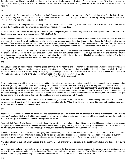they who recognized his spirit or mind, and thus knew him, would also be acquainted with the Father in the same way. "If ye had known me, ye should have known my Father also; and from henceforth ye know him and have seen him." (John 8:19; 14:7) This is the only sense in which the world will

#### T86

ever see God, for "no man hath seen God at any time" ("whom no man hath seen, nor can see")--"the only begotten Son, he hath declared [revealed--shown] him." (1 Tim. 6:16; John 1:18) Jesus revealed or caused his disciples to see the Father by making known his character- revealing him by words and deeds as the God of Love.

In the same way the Papal system was shown by Luther and others, and seen by many, to be the Antichrist; or as Paul had foretold, that wicked system, the man of sin, was then revealed, though many do not even yet see it thus.

Thus it is that our Lord Jesus, the Head (now present to gather the jewels), is at this time being revealed to the living members of the "little flock," though others know not of his presence. Luke 17:26-30; Mal. 3:17

Thus it will also be in the Millennial day, when the complete Christ--the Priest--is revealed. He will be revealed only to those that look for him, and only those will see him. They will see him, not by physical sight, but as we now see all spiritual things--our Lord Jesus, the Father, the prize, etc.--by the eye of faith. Men will not see the Christ by physical sight, because on a different plane of being--the one spirit, the other flesh; for the same reason that they will never see Jehovah. But we [the little flock, when glorified] shall see him as he is, for we shall be like him. 1 John 3:2

But, though only "those who look for him" will be able to recognize the Christ as the deliverer who will save them from the dominion of death, yet this will embrace all the world; for the manner of revelation will be such that ultimately all must see. "Every eye shall see him"; and all in their graves, being then awakened, even they that pierced him, will realize that they crucified the Lord of glory. "He shall be revealed [in the sky? No!] in flaming fire [judgments], taking vengeance on those that know not [acknowledge

#### T87

not] God, and [also on those] that obey not the gospel of Christ." It will not take long for all mankind to recognize him under such circumstances. Now the good suffer, but then shall ye discern "between him that serveth God and him that serveth him not"; for in that day the distinction will be manifested. (Mal. 3:15-18) Then all, seeing clearly, may, by accepting Christ and his offer of life under the New Covenant, have everlasting life; for "We trust in the living God, who is the Savior of all men, specially of those that believe." 1 Tim. 4:10 "And After Death the Judgment"

A text directly connected with our subject, as is evident from its context, yet one more frequently misapplied, misunderstood, than perhaps any other in the Bible, reads, "And as it is appointed unto men [Aaron and his successors, who were merely types of the High Priest of the new creation] once to die [typically, as represented in the animal slain], and after this [following as a result of those sacrifices] the judgment [of God, approving or disapproving of the sacrifice], so Christ was once offered [never will it be repeated] to bear the sins of many ["every man"]; and unto them that look for him he shall appear the second time, without sin [neither blemished by the sins borne, nor to repeat the sin-offering, but] unto salvation"--to give the everlasting life to all who desire it uponGod's conditions of faith and obedience. Heb. 9:27,28

Each time a Priest went into the "Most Holy" on the Atonement Day he risked his life; for if his sacrifice had been imperfect he would have died as he passed the "Second Veil." He would not have been accepted into the "Most Holy" himself, nor would his imperfect sacrifice have been acceptable as an atonement for the sins of the

#### T88

people. Hence any failure meant his death, and the condemnation of all for whose sins he attempted to make reconciliation. This was the "judgment" mentioned in this text, which was passed every year by the typical priests; upon the passing of that judgment favorably the priest's life and the yearly typical atonement for the sins of the people depended.

Our great High Priest, Christ Jesus, passed under the antitypical Second Veil, when he died at Calvary; and had his sacrifice been in any manner or degree imperfect he would never have been raised out of death--the "judgment" of justice would have gone against him. But his resurrection, on the third day, proved that his work was perfectly performed, that it stood the test of the divine "judgment." See Acts 17:31.

A further evidence that our Lord passed this "judgment" successfully, once for all, and that his sacrifice was accepted, was evidenced in the blessing at Pentecost; and that was a foretaste of the still greater future blessing and outpouring upon all flesh (Joel 2:28), a guarantee or assurance that ultimately he (and we in him) shall come forth to bless the people--the world, for whose sins he fully and acceptably atoned.

Any interpretation of this text, which applies it to the common death of humanity in general, is thoroughly contradicted and disposed of by the context.

Many have been looking in an indefinite way for a good time to come--for the removal in some manner of the curse of sin and death and evil in general, but they have not understood the long delay. They do not realize that the sacrifice of the "Day of Atonement" is necessary and must be finished before the glory and blessing can come: nor do they see that the Church, the "elect," the "little flock," are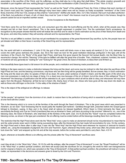associates in the sacrifice of the Christ, and his sufferings, as they shall also be in the glory that shall follow. "The whole creation groaneth and travaileth in pain together until now, waiting [though in ignorance] for the manifestation of [the Church] the sons of God." Rom. 8:19,22

Moreover, since the typical Priest represented the "body" as well as the "head" of the antitypical Priest, the Christ, it follows that each member of the Church must pass this "judgment"--that although many have been called none will be chosen as finally acceptable "members" of the Christ Body, branches of the true Vine, except as they shall be "overcomers"--faithful unto death. (Rev. 3:21) Not, however, that such must attain perfection of the flesh, but perfection of heart, of will, of intent: they must be "pure in heart"--the treasure must be of pure gold tried in the furnace, though its present casket be but an imperfect earthen vessel.

#### Divine Acceptance to Be Manifested

"And there came fire out from before the Lord, and consumed upon the altar the burnt-offering and the fat, which, when all the people saw, they shouted and fell on their faces"--worshiped. This is the same thought expressed in another form. The fire symbolized God's acceptance; its recognition by the people showed that the world will realize the sacrifice and its value in God's estimation as the price of their liberty from death and the grave, and when they realize it they will worship Jehovah and his representative, the Priest.

That this is not yet fulfilled is evident. God has not yet manifested his acceptance of the great Atonement Day sacrifice, by fire; the people have not yet shouted and fallen on their faces in worship of the Great King and his representative.

T90

No, the world still lieth in wickedness (1 John 5:19); the god of this world still blinds more or less nearly all mankind (2 Cor. 4:4); darkness still covers the earth--gross darkness the people. (Isa. 60:2) Nor need we look for the great restitution blessings prefigured in this type until all the members of the Church, the "Body" of the great High Priest, shall have first gone beyond the Second Veil (actual death), into the Most Holy, by resurrection change. Nor will this "blessing" of the type be fulfilled until after the great time of trouble. Then, chastened, sobered, humbled, the world of mankind will very generally be "waiting for" and "looking for" the great Christ, the Seed of Abraham, to bless them and lift them up.

How beautifully these types teach a full ransom for all the people, and a restitution and blessing made possible to all!

Nothing in the types seems to make a distinction between the living and the dead, and some may be inclined to infer that when the sacrifices of the High Priest are over, and the blessing commences, only those who are then living will be greatly benefited. But we answer, Nay: in God's estimation the living and the dead are alike; he speaks of them all as dead. All came under sentence of death in Adam; and the little spark of life which any man now possesses is really but one stage of dying. It is a dead race now because of the sin of Adam; but at the close of this antitypical "Day of Atonement" the blessings of justification and life will be extended to all, upon conditions which all will be able to obey, and whosoever will may have again, from the life-giver, Redeemer, all that he lost in Adam--life, liberty, favor of God, etc.--those who have gone all the way down into death, as well as those who still linger on the brink--"in the valley of the shadow of death."

This is the object of the antitypical sin-offerings: to release

T91

"all the people," all mankind, from the dominion of sin, death: to restore them to the perfection of being which is essential to perfect happiness and at-one-ment with the Creator.

This is the blessing which is to come to all the families of the earth through the Seed of Abraham. This is the good news which was preached to Abraham, as we read: "God foreseeing that he would justify the heathen [all mankind-- Gentiles] through faith, preached before the Gospel [good tidings] to Abraham, saying, In thee and in thy Seed shall all nations be blessed [justified]...Which Seed is Christ [primarily the Head, and secondarily the Body]; and if ye be Christ's [members] then are ye Abraham's Seed, and heirs according to the promise" referred to; viz., one of the blessing class, the Seed of Abraham, who shall bless all the families of the earth. (Gal. 3:8,16,29) But this "Seed" must be completed before the blessing comes, as shown in the type just considered: the sin-offering must be ended before all the blessings resulting there from can flow out.

The restriction that the High Priest alone went into the "Most Holy" once a year to make an atonement should not be misunderstood to mean that he and the under-priests never went in thither during succeeding days--after the Atonement Day had made full reconciliation for sins. On the contrary, the High Priest went in there often in after days. It was into the "Most Holy" that the High Priest went whenever he inquired of Jehovah for Israel's welfare, etc., using the breastplate of judgment, the Urim and Thummim. Again, whenever they broke camp, which was often, the priests went in and took down the "veils" and wrapped up the Ark and all the holy vessels, before the Levites were permitted to carry them. Num. 4:5-16

Again, whenever an Israelite offered a sin-offering unto the priests (after the "Day of Atonement" sacrifices were

T92

over) they all ate it in the "Most Holy." (Num. 18:10) So with the antitype, after the present "Day ofAtonement" is over: the "Royal Priesthood" will be in the "Most Holy" or perfect spiritual condition, and there will accept (eat) the sacrifices for sin, brought by the world for their own transgressions (not for original or Adamic sin, which was canceled on the "Day of Atonement"). In that perfect spiritual condition, the priesthood will instruct in every matter, as represented in the decisions and answers given to Israel by the Urim and Thummim.

# **T093 - Sacrifices Subsequent To The "DayOf Atonement"**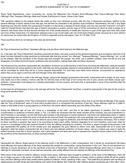## CHAPTER VI SACRIFICES SUBSEQUENT TO THE "DAYOF ATONEMENT"

These Typify Repentances, Vows, Covenants, etc., During the Millennium--The People's Burnt-Offerings--Their Peace-Offerings--Their Meat-Offerings--Their Trespass-Offerings--Male and Female Distinctions to Cease, Shown in the Types.

THE sacrifices offered by the people (Israel--the world) on their own individual account, after the Day of Atonement sacrifices, typified by the general offerings of Israel, belong to the next age, and will then be presented to the glorified royal priesthood. Nevertheless, this has a very slight beginning now; thus the worldly man possessed of wealth is in that sense a steward of God's things, and may now use that "mammon" and with it make for himself friends, that when this age of Satan's domination is ended, and the reign of Christ commences (in which he shall no longer be a steward), then those whom he thus favored will bless him. If the worldly stewards of wealth (the mammon or god of this age) were wise, they would use more of their means thus. For whosoever shall give even a cup of cold water unto one of the least of these priests, because he is such, shall by no means lose his reward when the Kingdom of Christ is organized and its rule begins. Luke 16:1-8; Matt. 10:42

Those sacrifices which do not belong to the class we denominate

T94

the "Day of Atonement sacrifices," illustrated offerings and sacrifices which belong to the Millennial age.

As, in the type, the "Day of Atonement" sacrifices preceded all others, and were a basis for the general forgiveness and acceptance with God of all Israel, but were followed by other sacrifices by individuals after that day, termed "sin- offerings," "trespass-offerings," "peace-offerings," etc., so will be the antitype. After the sacrifices of this Gospel age have brought "the people," the world, into a justified condition, there will still be sins and trespasses committed which will require confession and reconciliation, making these after-sacrifices necessary.

The Atonement Day sacrifices represented the cancellation of Adamic sin by the sacrifice of the Christ; but during the Millennium, while the benefits of the atonement are being applied to the world, while they are being gradually restored to actual perfection and life and harmony with God, errors will be committed for which they will be in some measure responsible. For such they must make some amends, accompanied by repentance, before they can be again in harmony with God through Christ, their Mediator.

Consecration will also be in order in the next age, though, owing to the changed government of the world, consecration will no longer, as now, mean unto death, but on the contrary, it will be unto life; for with the close of the reign of evil comes the end of pain, sorrow and death, except upon evildoers. Consecration must always be a voluntary presentation of one's powers, and hence this is represented in some of the sacrifices after the Atonement Day.

As the basis for all forgiveness of sins in the next age will be the "Day of Atonement" sacrifices, it would be appropriate in the type for the sinner to bring some sacrifice which

#### T95

would indicate a recognition of the "Day of Atonement" sacrifices, as the ground of forgiveness anew. And so we find that all offerings of the people after the "Day of Atonement" were of a kind which pointed back to or recognized the sacrifices of that day. These offerings might be of cattle or sheep or fowl (turtle doves or young pigeons) or of fine flour--the article offered depending upon the ability of the offerer.

During the Millennial age all men will "come to a knowledge of the truth," and thus to the fullest opportunity of salvation from the curse (condemnation or sentence) of Adamic death. (1 Tim. 2:4) When we remember that this death includes all the sickness, pain and imperfection to which humanity is now subject, we see that God's plan includes a full restoration to human perfection; only those who deliberately refuse or neglect the opportunities then put within the reach of all will die the Second Death. But perfection will come gradually, and it will require the cooperation of the sinner's WILL ever to reach it. He must do what he can to climb up again to perfection, and will have all the assistance necessary. This is shown by these sacrifices in general: they were to be according to every man's ability. However degraded by sin and imperfect, each must, when he comes to a knowledge of the truth, present himself to God, the offering indicating his condition. The dove or pigeon brought by the poorest in the type represented the justified all of the morally poor and degraded; the goat offered by others more able, represented the all of some less degraded; while the bullock represented the all of those who had attained perfection of human nature. Just as a bullock was used to typify the perfect humanity (much fat) of Jesus' sacrifice, and a goat (wayward and lean) was used to represent the imperfect human nature of the saints, in the sacrifices of this Atonement Day, so those animals similarly

#### T96

represented the offerers (Israel--typical of the believing world in the Millennium) in their consecrations. But it should be remembered that these burnt-offerings and peace-offerings of the future represent the people as consecrating-- giving themselves to the Lord. They do not represent sinofferings to secure atonement, as do the sacrifices of the Day of Atonement. There were indeed trespass-offerings which were in a sense sinofferings for individuals; but these, as we shall see presently, were wholly different from the national sin-offerings of the Atonement Day.

When those of the world of mankind, willing to accept God's grace, shall have been brought to perfection, at the close of the Millennium, there will be no longer any poor in the sense of inability to offer a bullock--in the sense of deficiency of mental, moral or physical ability. All will be perfect men, and their offerings will be their perfect selves typified by bullocks. David, speaking of this, says: "Then shalt thou be pleased with sacrifices of righteousness [of right doing] with burnt-offering and whole burnt-offering; then shall they offer bullocks [perfect sacrifices] upon thine altar." (Psa.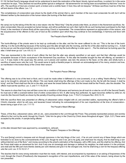51:19) Yet that David's language should not be understood to teach the restoration of the literal, bloody, typical sacrifices, is evident, for in the same connection he says, "Thou desirest not sacrifice [either typical or antitypical-- full atonement for sin having been accomplished by that time "once for all"]...The sacrifices of God are a broken spirit; a broken and a contrite heart, O God, thou wilt not despise." All these sacrifices must be of the free will and desire of the offerer. Lev. 1:3

The completeness of consecration was shown by the death of the animal--that is, each member of the race must consecrate his will; but it will be followed neither by the destruction of the human nature (the burning of the flesh outside

#### T97

the camp) nor by the taking of the life into a new nature--into the "Most Holy." Only the priests enter there, as shown in the Atonement sacrifices. No: when consecrated, they are accepted as human beings, and will be perfected as such--their right to life as such having been purchased by the High Priest, in the members of whose Body all the overcoming Church is represented. The consecrations represent an appreciation of the ransom, and the acquiescence of the offerers to the Law of God as the condition upon which they may continue to live everlastingly, in harmony and favor with him.

#### The People's Burnt-Offerings

The burnt-offerings of the priests were to be kept up continually on the altar, and the fire never suffered to die out. "This is the law of the burntoffering: it is the burnt-offering because of the burning upon the altar all night unto the morning, and the fire of the altar shall be burning in it.... It shall not be put out, and the priest shall burn wood on it every morning, and lay the burnt-offering in order upon it. ...The fire shall ever be burning upon the altar; it shall never go out." Lev. 6:9,12,13

Thus was represented to the mind of each offerer the fact that the altar was already sanctified or set apart, and that their offerings would be acceptable because of God's acceptance of the Atonement Day sacrifices. To this altar the Israelite brought his free will offering, as narrated in Lev. 1. It was made in the usual way: the animal, cut in pieces and washed, was laid, the pieces to the head, on the altar, and wholly burnt, a sacrifice of sweet savor unto the Lord. This would serve to typify a thankful prayer to Jehovah--an acknowledgment of his mercy, wisdom and love, as manifested in the broken Body of the Christ--their ransom.

T98

#### The People's Peace-Offerings

This offering was to be of the herd or flock; and it could be made either in fulfilment of a vow (covenant), or as a willing "thank-offering." Part of it was to be brought to Jehovah by the offerer--"His own hands shall bring the offerings of the Lord made by fire; the fat with the breast, it shall he bring"; and the Priest shall burn the fat on the altar, and wave the breast before the Lord. But the breast shall be the Priest's, also the shoulder. The offerer must eat the sacrifice. Lev. 3, and 7:11-18,30-34

This seems to show that if any man will then come into a condition of full peace and harmony (as all must do or else be cut off in the Second Death), he must eat or fulfil a covenant before God of entire consecration to him. If, after being thus perfected, he again becomes defiled by wilful sin, he must die (the Second Death) as shown by the penalty of touching unclean things. (Lev. 7:19-21) Compare Rev. 20:9,13-15.

With this sacrifice there was presented an offering of unleavened cakes mingled with oil, and anointed wafers, representing the offerer's faith in Christ's character, which he will copy, and leavened bread indicating his acknowledgment of his own imperfection at the time of consecration- leaven being a type of sin. Lev. 7:11-13

#### The People's Meat-Offerings

These, of fine flour, unleavened cakes, with oil, etc., were presented to the Lord through the Priest. They probably represented praises and worship offered to the Lord by the world, through his Church. "Unto him be glory in the Church by Christ Jesus throughout all ages." (Eph. 3:21) These were accepted by the priests. A sample being offered

T99

on the altar showed that it was approved by, acceptable to, Jehovah.

The People's Trespass or Sin-Offerings

"If a soul [being] commit a trespass and sin through ignorance in the holy things of the Lord;...if he sin and commit any of these things which are forbidden to be done by the commandments of the Lord, though he wist it not, yet is he guilty, and shall bear his iniquity. And he shall bring a ram without blemish out of the flock," and money according to the priest's estimation of the trespass, with a fifth more, and this shall be his offering. And the Priest shall make an atonement for him. And if any one sin knowingly and damage or defraud his neighbor, he shall restore it in the principal, and shall add the fifth part more thereto (twenty per cent interest) and give it to the wronged one. And he shall bring a ram for the trespass-offering unto the Lord. Lev. 5:15-19; 6:1-7

This teaches that for every wrong restoration must then be made, with interest, and accompanied by repentance or an asking of forgiveness of the Lord, through the Church (Priesthood)--the trespasser's recognition of his own imperfections, and of the value of the ransom, being shown by the ram presented.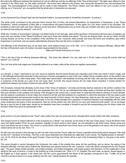But notice the difference between the treatment of such sin-offerings and the sin-offerings of the "Day of Atonement." The latter were offered to God (Justice) in the "Most Holy," as "the better sacrifices"; the former were offered to the priests, who, during the Atonement Day, had purchased the people. The acknowledgment of the people will be made to their Redeemer. The Priest, indeed, took and offered to the Lord a portion of the offering, as a "memorial," as a recognition that the whole plan of redemption as executed

## T100

on the Atonement Day (Gospel Age) was the heavenly Father's, but appropriated to himself the remainder-- by eating it.

The whole world, purchased by the precious blood (human life) of Christ, will present themselves, for forgiveness of trespasses, to the "Royal Priesthood," whose acceptance of their gifts or consecrations will signify forgiveness. To this agree our Lord Jesus' words to his disciples: "He breathed on them and saith unto them, Receive ye the holy Spirit. Whosesoever sins ye remit, they are remitted unto them; and whosesoever sins ye retain [to them] they are retained." John 20:23

While this "ministry of reconciliation" belongs in its fullest sense to the next age, when all the sacrifices of Atonement will have been completed, yet even now, any member of the "Royal Priesthood" may say to those who believe and repent, "Thy sins are forgiven thee"--as did our Head, by faith looking forward, as he did, to the completion of the sacrifices for sins: moreover, these priests now know the terms and conditions upon which forgiveness is promised, and can speak authoritatively whenever they see the terms complied with.

The offerings of the Atonement Day, as we have seen, were always burned (Lev. 6:30; Heb. 13:11), but the later trespass-offerings, offered after the Day of Atonement, were not burned, but eaten (appropriated) by the priests.

Male and Female Distinctions to Cease

"This is the law of the sin-offering [trespass-offering]... The priest that offereth it for sins shall eat it...All the males among the priests shall eat thereof." Lev. 6:25-29

The Lord and all the holy angels are Scripturally referred to as males, while all the saints are together represented

T101

as a female, a "virgin," espoused to our Lord Jesus as husband. But the human female was originally a part of the man made in God's image, and is still (although temporarily separate for the purposes of human propagation) a part of the man--neither being complete alone. As the perfect man was named Adam, so, when made twain, "God called their name Adam"--the headship remaining with the male, who was thus made the caretaker or preserver of the female as a part of his own body. (Eph. 5:23,28) This sexual division did not make Adam imperfect: it merely divided his perfections between two bodies of which he was still the "head."

The Scriptures indicate that ultimately, by the close of the "times of restitution," all (male and female shall be restored to the perfect condition--the condition represented in Adam before Eve was separated from him. We do not understand that either males or females will lose their identity, but that each will take on the qualities now lacking. If this thought be the correct one, it would seem to imply that the extreme delicacy of some females and the extreme coarseness of some males are incident to the fall, and that restitution to a perfection in which the elements of the two sexes would be perfectly blended and harmonized would be the ideal humanity of God's design. Our dear Redeemer, when he was "the man Christ Jesus," was probably neither coarse and brawny nor effeminate. In him the mental strength and a grandeur of manhood blended most delightfully with the noble purity, tenderness and grace of true womanhood. Was he not the perfect man who died for our race and redeemed both sexes? Let us not forget that as a man he had no help-mate: should he not therefore have been complete in himself to pay the full corresponding price for Adam (male and female)? Either thus was Eve represented in the

T102

great ransom or by her husband as her "head"--else mother Eve was not ransomed at all, a thought which would conflict with other scriptures.

The Gospel Church is indeed referred to in the Scriptures as a "Bride"; not, however, as the bride of "the man Christ Jesus," but as the Bride of the risen and highly exalted Christ. As new creatures, begotten of God's spirit to spirit nature, we are betrothed to the Spirit Jesus, whose name and honor and throne we are to share. The Church is not the Bride of the sacrificed man Christ Jesus, but of the glorified Lord Jesus, who at his second advent claims her as his own. Rom. 7:4

As with man and woman in the next age so will it be with Christ and the Church--after the Church is glorified all femininity will be dropped--"We shall be like him"--members of his Body. "And this is the name wherewith she shall [then] be called [her Lord's name], The Righteousness of Jehovah." (Jer. 33:16; 23:6) As the Body of the great Prophet, Priest and King, the Church will be a part of the Everlasting Father or Life-giver to the world. Isa. 9:6

This same thought is carried throughout the Scriptures; the males of the priestly tribe alone did the sacrificing, and as above, the eating of the trespass-offerings; and they alone entered the Tabernacle and passed beyond the Veil. Likewise, in the holy Spirit's arrangement for this Gospel age-- "He gave indeed [male] apostles, and [male] prophets, and [male] evangelists, and [male] pastors and teachers, for the qualification of the saints for the work of service, in order to the building up of the Anointed one." (Eph. 4:11,12, Diaglott) The word male, as above, should appear in the English as it does appear in the Greek text, and the Lord's appointments and those of the apostles correspond to this. "I suffer not [in the Church] a woman to teach or to usurp authority over the man," plainly declares the Apostle.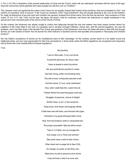(1 Tim. 2:12) This is illustrative of the present relationship of Christ and the Church, which will, we understand, terminate with the close of this age, when the overcomers will be glorified and made actually one with the Lord--as "brethren."

This, however, does not signify that the sisters in the Church do not equally "present their bodies living sacrifices, holy and acceptable to God," and perform an important "work of service" in the Church as members of the "royal priesthood"; they are equally pleasing to the Lord as the brethren, for, really, all distinctions of sex and color and condition are ignored, dropped from divine notice, from the time we become "new creatures in Christ Jesus" (2 Cor. 5:17; Gal. 3:28); but the type, the figure, the lesson, must be continued, and hence the distinctions so rigidly maintained in the special and more important parts of the service of the Church of Christ.

On the contrary, the Adversary has always sought to control man religiously through the love and esteem men bear toward women--hence his exaltation of the Virgin Mary to the rank of a goddess and to worship amongst Catholics. Hence also, with the ancient Egyptians, Isis was the goddess, and in the later times of the Apostle Paul, Diana was goddess of the Ephesians. And does not Satan still seek to deal with and through woman, as in the Garden of Eden? Are not women his chief mediums in Spiritism and his chief apostles and prophets in Theosophy and Christian Science?

Nor has Satan's acceptance of women as his mouthpieces been to their advantage. On the contrary, women stand on a far higher social and intellectual plane, and are most appreciated for their true womanhood, in those lands where the Bible regulations are recognized and respected; and by those who most carefully follow Scriptural regulations.

T104

#### My Sacrifice

"Laid on thine altar, O my Lord divine, Accept this gift today, for Jesus' sake. I have no jewels to adorn thy shrine, Nor any world-famed sacrifice to make; But here I bring, within my trembling hand, This will of mine--a thing that seemeth small; And thou alone, O Lord, canst understand How, when I yield thee this, I yield mine all. "Hidden therein thy searching gaze canst see Struggles of passions, visions of delight, All that I have, or am, or fain would be-- Deep loves, fond hopes and longings infinite. It hath been wet with tears, and dimmed with sighs, Clenched in my grasp till beauty hath it none. Now, from thy footstool, where it vanquished lies, The prayer ascendeth--'May thy will be done!' "Take it, O Father, ere my courage fail; And merge it so in Thine own will that I May never have a wish to take it back; When heart and courage fail to thee I'd fly. So change, so purify, so like thine own, Make thou my will so graced by love divine

Imay not know or feel it as mine own,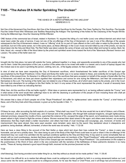# **T105 - "The Ashes Of A Heifer Sprinkling The Unclean"**

T105

## CHAPTER VII "THE ASHES OF A HEIFER SPRINKLING THE UNCLEAN" HEBREWS 9:13

Not One of the Atonement Day Sacrifices--Not One of the Subsequent Sacrifices for the People--The Class Typified by This Sacrifice--The Apostle Paul the Under-Priest Who Witnesses and Testifies Respecting the Antitype--The Sprinkling of the Ashes for the Cleansing of the People Will Be During the Millennial Age--How the Cleansing Will Be Effected.

ONE feature of the ceremonial law of Israel, related in Numbers 19, required the killing of a red heifer (cow)--one without blemish and which had never been under the yoke of service. It was not one of the sin-offerings of the Day of Atonement, nor was it one of the offerings of the people subsequent to the Day of Atonement--indeed, it was no "offering" at all, for no part of it was offered on the Lord's altar or eaten by the priests. It was sacrificed, but not in the same sense, nor in the same place, as these offerings--in the Court. It was not even killed by one of the priests, nor was its blood taken into the Holy and Most Holy. The Red Heifer was taken outside the camp of Israel, and was there killed and burned to ashes--flesh, fat, hide, blood, etc.--except a little of the blood taken by the priest and sprinkled seven times toward the front of the Tabernacle (Revised Version and Leeser). The ashes of the heifer were not

#### T106

brought into the Holy place, but were left outside the Camp, gathered together in a heap, and apparently accessible to any of the people who had use for them. Under the prescription of the Law, a portion of the ashes was to be mixed with water in a vessel, and a bunch of hyssop dipped into this mixture was to be used in sprinkling the person, clothing, tent, etc., of the legally unclean, for their purification.

In view of what we have seen respecting the Day of Atonement sacrifices, which foreshadowed the better sacrifices of this Gospel age (accomplished by the Royal Priesthood, Christ, Head and Body) this heifer was in no sense related to these, and evidently did not typify any of the sacrifices of this present time. So likewise it is different from any of the sacrifices that were accepted on behalf of the people of Israel after the Day of Atonement, and which we have just shown signified their repentance and sorrow for sins during the Millennium, and their full consecration of themselves to the Lord. The burning of the heifer was not related to any of these sacrifices, all of which were made by the priests, and in the Court. We must look elsewhere for an antitype to this Red Heifer, for had it in any sense of the word represented the priests, it would of necessity have been killed by one of them as indicating that fact.

What, then, did this sacrifice of the red heifer signify?-- What class or persons were represented by it, as having suffered outside the "Camp," and in what sense of the word would their sufferings have to do with the cleansing or purification of the people of God--including those who shall yet become his people during the Millennial age?

We answer that a class of God's people not of the "Royal Priesthood" did suffer for righteousness' sake outside the "Camp"; a brief history of these, and of the fiery trials which they endured, is given us by the Apostle in Heb. 11.

#### T107

Of these he says, after recounting the faith exploits of a number, "What shall I say more? For the time would fail me to tell of Gideon, and of Barak, and of Samson, and of Jephtha; of David also, and of Samuel and of the prophets: who through faith subdued kingdoms, wrought righteousness, obtained promises, stopped the mouths of lions, quenched the violence of fire, escaped the edge of the sword, out of weakness were made strong, waxed valiant in fight, turned to flight the armies of aliens. Women received their dead raised to life again: and others were tortured, not accepting deliverance; that they might obtain a better resurrection: and others had trials of cruel mockings and scourgings, yea, moreover, of bonds and imprisonment: they were stoned, they were sawn asunder, were tempted, were slain by the sword: they wandered about in sheepskins and goatskins; being destitute, afflicted, tormented, of whom the world was not worthy." Heb. 11:32-38

Here we have a class fitting to the account of the Red Heifer--a class which laid down their lives outside the "Camp"; a class in every way honorable, and yet not a priestly class. This class being no part of the Body of the High Priest could have no part or share in the sin-offerings of the Atonement Day--nor could it be admitted into the spiritual conditions typified by the Holy and Most Holy. It may seem to some remarkable that we should, with so much positiveness, declare that these ancient worthies were not members of the "Royal Priesthood," while with equal positiveness we declare that the no more faithful servants of God of this Gospel age are members of this "Royal Priesthood." Our positiveness on this subject is the positiveness of the Word of God, which in the very connection with the narrative of the faithfulness of these patriarchs declares in so many words, "These all, having obtained a good report through faith, received not the promise [received not the

#### T108

chief blessing], God having provided some better thing for us, that they without us should not be made perfect." Heb. 11:39,40

Nor should it be difficult for us to realize that although there could be antitypical Levites (justified by faith in a coming atonement) before our Lord Jesus came into the world, yet there could be no antitypical priests, for he was the Head or Chief Priest, and in all things had pre-eminence, and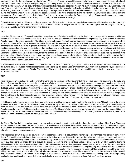made atonement for the blemishes of his "Body" and of "his house" before any could become his brethren and members of the royal priesthood. Our Lord himself stated this matter very pointedly, and succinctly pointed out the line of demarcation between the faithful ones that preceded him and the faithful ones who would follow after him, walking in his footsteps, and becoming his joint-heirs. Of John the Baptist he said, "Verily I say unto you, Among them that are born of women there hath not risen a greater than John the Baptist; notwithstanding he that is least in the Kingdom of Heaven is greater than he." (Matt. 11:11) John the Baptist belonged to this Red Heifer class which suffered outside the "Camp," even unto death, but he had nothing whatever to do with the still better sacrifices of the royal priesthood during the Atonement Day, whose fat and life producing organs were offered upon God's altar in the "Court," and whose blood was taken into the "Most Holy," typical of those who become new creatures in Christ Jesus, even members of his "Body," the Church, joint-heirs with him in all things.

But while these ancient worthies are not in any sense part of the sin-offering, they are nevertheless connected with the cleansing from sin: their ashes (the knowledge and remembrance of their faithfulness unto death), mingled with the water of truth, and applied with the purgative, cleansing hyssop, is valuable, purifying, sanctifying all who desire to

## T109

come into full harmony with God--and "sprinkling the unclean, sanctifieth to the purification of the flesh." Not, however, of themselves would these lessons of faithfulness in the past be valuable to us, but only by, through and associated with the sin-offerings of the Day of Atonement, to which the Apostle refers in the same connection--"the blood of bulls and goats." And not only are the remembrance and lessons of the faithfulness of the ancient worthies (typified by the ashes of the red heifer) of sanctifying power to us now, but in a much larger sense they will be applicable and a blessing to the world of mankind in general during the Millennial age. For, as we have elsewhere seen, the divine arrangement is that these ancient worthies, the greatest of whom is less in honor than the least one in the Kingdom, will nevertheless occupy a place of high honor and distinction under that Kingdom of God--as its agents and representatives. For they shall be the "princes in all the earth," the agents of the Kingdom's judgments, and the channels of its blessings, to "all the families of the earth." Thus the faithfulness of these ancient worthies was represented in the gathered ashes of the heifer, as laid up in store for future use, valuable lessons of experience, faith, obedience, trust, etc., which, applied to the world of mankind, seeking cleansing in the coming age, will sanctify them and purify them--not without the Day of Atonement sacrifices, but in connection with and based upon those. Psa. 45:16

The burning of the heifer was witnessed by a priest, who took cedar wood and a sprig of hyssop and a scarlet string and cast them into the midst of the burning cow. The hyssop would represent purging or cleansing, the cedar wood or evergreen would represent everlasting life, and the scarlet string would represent the blood of Christ. The casting of these three into the midst of the burning would imply that the ignominy heaped upon the ancient worthies who

## T110

were stoned, sawn asunder, etc., and of whom the world was not worthy, permitted the merit of the precious blood, the cleansing of the truth, and the gift of everlasting life to be accounted to them through faith; and that subsequent to their death they would be recognized as cleansed, justified, accepted. The under-priest (not Aaron, who typified the Lord Jesus) who saw, recognized and approved the burning of the heifer and who took of its blood and sprinkled it in the direction of the Tabernacle door, would seem well antityped in that great under-priest, the Apostle Paul, who, by the help of God (the name Eleazar signifies "Helped by God") has not only identified for us the sin-offerings of the Atonement Day, but also in his writings points out to us (Heb. 11) that which enables us to identify the Red Heifer sacrifice as typifying the ancient worthies. And thus he sprinkles their blood toward the Tabernacle, showing that their lives were in full, complete harmony with the Tabernacle conditions--although, not living in the time of this high calling, it was not their privilege to become members of the Body of the great High Priest, the royal priesthood.

In that the red heifer never wore a yoke, it represented a class of justified persons--made free from the Law Covenant. Although most of the ancient worthies were born under the Law Covenant, and therefore legally subject to its conditions and to its condemnation through imperfection of the flesh, nevertheless, we see that God justified them through faith, as the children of faithful Abraham. This is fully attested and corroborated by the Apostle, when he says that "all these obtained a good report of God through faith"--a verdict of, Well done, a testimony that they pleased God, and that he had provided for them blessings in harmony with his promise--although these blessings could not be given to them at the time, but must be waited for and be received through the spiritual Seed of Abraham--

## T111

the Christ. The fact that this sacrifice must be a cow and not a bullock served to differentiate it from the great sacrifice of the Day of Atonement which could be a bullock only. That it must be a red cow would seem to teach that those ancient worthies were not sinless and therefore accepted of God before the great Atonement Day sacrifice, but that they were "sinners even as others." The fact of their cleansing or justification by faith, was otherwise indicated as above suggested.

The cleansings for which these red cow ashes were prescribed, were of a peculiar kind; namely, specially for those who came in contact with death. This would seem to indicate that these ashes of the heifer were not designed to remove the individual's guilt--no, his moral guilt could be cleansed away only through the merit of the Atonement Day sacrifices. The cleansing of defilement through contact with the dead would seem to teach that this cleansing, affected by and through the experiences of the ancient worthies, will specially apply to the world of mankind during the Millennial age, while they are seeking to get rid of all the defilements of Adamic death--seeking to attain human perfection. All the blemishes of the fallen condition are so much of contact with death; all constitutional weaknesses and blemishes through heredity are contacts with death: and from all of these the ashes of the Red Heifer are to be used for the cleansing of all who will become the people of God. Like the ashes of the red heifer, laid up in a clean place, so the results of the painful experiences of the ancient worthies will be a store of blessings, instruction and help, by which they, when made subordinate "princes" in the Kingdom, will assist in the restitution work. Each pardoned sinner, desiring to be cleansed perfectly, must not only wash himself with water (truth), but must also have applied to him the instructions of these "princes"--said instructions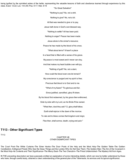being typified by the sprinkled ashes of the heifer, representing the valuable lessons of faith and obedience learned through experience by this class. Exod. 12:22; Lev. 14:4,49; Psa. 51:7; Heb. 9:19

"So Great Salvation"

"Nothing to pay? No, not a whit.

Nothing to give? No, not a bit.

All that was needed to give or to pay,

Jesus hath done inGod's own blessed way.

"Nothing to settle? All has been paid.

Nothing to anger? Peace has been made.

Jesus alone is the sinner's resource;

Peace he has made by the blood of his cross.

"What about terror? It hasn't a place

In a heart that is filled with a sense of his grace.

My peace is most sweet and it never can cloy,

And that makes my heart bubble over with joy.

"Nothing of guilt? No, not a stain;

How could the blood even one let remain?

My conscience is purged and my spirit is free;

Precious that blood is to God and to me.

"What of my future? 'Tis glorious and fair.

Since justified, sanctified, glory I'll share.

By his blood first redeemed, by his grace then enthroned,

Side by side with my Lord, as his Bride I'll be owned.

"What then, dost thou ask? O, glory shall follow;

Earth shall rejoice in the dawn of the morrow.

To rule and to bless comes that kingdom and reign;

Flee then, shall sorrow, death, crying and pain."

## **T113 - Other Significant Types**

T113

#### CHAPTER VIII OTHER SIGNIFICANT TYPES

The Court Post--The White Curtains--The Silver Hooks--The Door Posts of the Holy and the Most Holy--The Golden Table--The Golden Candlestick--Antitypical Priests Who See the Deep Things and the Levites Who Do Not See Them--The Golden Altar--The Ark of the Covenant in the Most Holy--Its Contents and Their Significance--The Mercy Seat--The Two Cherubim--The Priest Unblemished--The Mystery Hid from Ages.

IN THE preceding description we have purposely omitted an explanation of some interesting details, which can now be better understood by those who have, through careful study, obtained a clear understanding of the general plan of the Tabernacle, its services and its typical significance.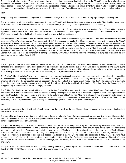The posts which stood in the "Court," and upheld the white curtains, represented justified believers--the "Court," as we have already seen, represented the justified condition. The posts were of wood, a corruptible material, thus implying that the class typified are not actually perfect as human beings; for since human perfection was typically represented by copper, those posts should either have been made of copper, or covered with copper, to represent actually perfect human beings. But although made of wood they were set in sockets of copper, which teaches us that

## T114

though actually imperfect their standing is that of perfect human beings. It would be impossible to more clearly represent justification by faith.

The white curtain, which, sustained by those posts, formed the "Court," well illustrated the same justification or purity. Thus, justified ones should continually hold up to the view of the world (the "Camp") the pure linen, representing Christ's righteousness as their covering.

The silver hooks, by which the posts held up the curtain, were symbolic of truth. Silver is a general symbol of truth. The justified believers, represented by the posts in the "Court," can thus really and truthfully claim that Christ's righteousness covers all their imperfections. (Exod. 27:11- 17) Again, it is only by the aid of the truth that they are able to hold on to their justification.

The door posts at the entrance to the Tabernacle--at the "door" of the "Holy"--were covered by the first "Veil." They were totally different from the posts in the "Court," and represented "new creatures in Christ"--the consecrated saints. The difference between these and the posts in the "Court" represents the difference between the condition of the justified believers and the sanctified believers. The consecration to death of a justified man we have seen is the way into the "Holy"--passing through the death of the human will, the fleshly mind, the first veil. Hence these posts should illustrate this change, and so they do; for they were covered with gold, symbolic of the divine nature. Their being set in sockets of copper represented how "we have this treasure [the divine nature] in earthen vessels" (2 Cor. 4:7); i.e., our new nature is still based upon, and rests in, our justified humanity. This, it will be remembered, corresponds exactly with what we found the "Holy" to symbolize, viz., our place or standing as new creatures, not yet perfected. Exod. 26:37

## T115

The door posts of the "Most Holy" were just inside the second "Veil," and represented those who pass beyond the flesh (veil) entirely, into the perfection of the spiritual condition. These posts were so constructed as fully to illustrate this. Covered with gold, representing divine nature, but no longer set in sockets of copper--no longer dependent on any human condition--they were set in sockets of silver (reality, truth, verity) seeming to say to us, When you come inside this veil you will be perfect--really and truly new creatures. Exod. 26:32

The Golden Table, which in the "Holy" bore the shewbread, represented the Church as a whole, including Jesus and the apostles--all the sanctified in Christ who serve in "holding forth the word of life." (Phil. 2:16) The great work of the true Church during this age has been to feed, strengthen and enlighten all who enter the covenanted spiritual condition. The Bride of Christ is to make herself ready. (Rev. 19:7) The witnessing to the world during the present age is quite secondary and incidental. The full blessing of the world will follow in God's "due time," after the Gospel age (the antitypical Day of Atonement with its sin-offerings) is ended.

The Golden Candlestick or lampstand, which stood opposite the Golden Table, and gave light to all in the "Holy," was of gold--all of one piece hammered out. It had seven branches, each of which held a lamp, making seven lamps in all--a perfect or complete number. This represented the complete Church, from the Head, Jesus, to and including the last member of the "little flock" that he is taking out from among men, to be partakers of the divine (gold) nature. Our Lord says, "The seven candlesticks which thou sawest are the seven churches" (Rev. 1:20)--the one Church whose seven stages or developments were symbolized by the seven congregations of Asia Minor. (Rev. 1:11) Yes; that

#### T116

candlestick represented the entire Church of the Firstborn-- not the nominal, but the true Church, whose names are written in heaven--the true lightbearers--the "Royal Priesthood."

The form of its workmanship was beautiful--a fruit and a flower, a fruit and a flower, following successively--representing the true Church as both beautiful and fruitful from first to last. The lamp part on top of each branch was shaped like an almond, the significance of which we shall see when considering the significance of Aaron's rod.

The light from this lamp was from olive oil, "beaten" or refined; and the lamps were kept always lighted. This oil was symbolic of the holy Spirit, and its light represented holy enlightenment--the spirit of the truth. Its light was for the benefit of the priests only, for none others were ever permitted to see it or to profit by its light. Thus was represented the spirit or mind of God given to enlighten the Church, in the deep things of God, which are entirely hidden from the natural man (1 Cor. 2:14), even though he be a believer--a justified man (a Levite). None but the truly consecrated, the "Royal Priesthood," are permitted to see into this deeper light, hidden in the "Holy." The priests (the consecrated Body of Christ) always have access to the "Holy"; it is their right and privilege; it was intended for them. (Heb. 9:6) The Levite class cannot see in because of the veil of humanmindedness which comes between them and the sacred things; and the only way to set it aside is to consecrate and sacrifice wholly the human will and nature.

The lights were to be trimmed and replenished every morning and evening by the High Priest--Aaron and his sons who succeeded him in office. (Exod. 27:20,21; 30:8) So our High Priest is daily filling us more and more with the

#### T117

mind of Christ, and trimming off the dross of the old nature-- the wick through which the holy Spirit operates.

#### Antitypical Priests and Levites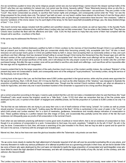Are we sometimes puzzled to know why some religious people cannot see any but natural things--cannot discern the deeper spiritual truths of the Word?--why they can see restitution for natural men, but cannot see the divine, heavenly calling? These Tabernacle lessons show us why this is. They are brethren in justification, of "the household of faith," but not brethren in Christ--not fully consecrated-- not sacrificers. They are Levites--in the "Court": they never consecrated as priests, to sacrifice their human rights and privileges, and consequently cannot enter the "Holy," nor see the things prepared for the priestly class only. The natural "eye hath not seen, nor ear heard--neither have entered into the heart of man the things which God hath prepared for them that love him. But God hath revealed them unto us [who through consecration have become "new creatures," called to become "partakers of the divine nature,"] by his spirit [light of the lamp], for the Spirit searcheth [revealeth] all things--yea, the deep [hidden] things of God." 1 Cor. 2:9,10

The church nominal has always included both the justified and sanctified classes--Levites and priests--as well as hypocrites. In the Apostle Paul's letters certain parts were addressed to the justified class (Levites) who had not fully consecrated. Thus he writes to the Galatians that "They that are Christ's have crucified the flesh with the affections and lusts." (Gal. 5:24) He thus seems to imply that only some of them had complied with the Gospel call to sacrifice-- crucifixion of the flesh.

In the same way he addressed the Romans (12:1); "I

## T118

beseech you, therefore, brethren [believers--justified by faith in Christ--Levites], by the mercies of God [manifest through Christ in our justification], that ye present your bodies a living sacrifice [that you consecrate wholly--thus becoming priests], holy, acceptable unto God." All who in heart renounce sin and accept God's grace in Christ are justified freely by faith in Jesus--God accepting them as reckonedly sinless or holy; and such sacrificers and their offerings God has declared himself willing to accept through Christ during this Atonement Day (the Gospel age) and until the full elect number of the royal priesthood is completed. "Now is the acceptable time"--the time when such offerings will be accepted. True, as we have just seen, God will accept sacrifices of the world, and it will always be the only proper course for all to pursue--to render unto the Lord their purchased beings. But after this age is ended, none will be permitted to sacrifice unto death and sufferings-- such sacrifices will be impossible after the new age and its regulations are inaugurated.

It seems evident that by far the larger proportion of the early churches (much more so of the modern worldly mixture, the confused "Babylon" of the present day) were not consecrated to death, and consequently were not of the antitypical "royal priesthood," but merely Levites, doing the service of the Sanctuary, but not sacrificing.

Looking back at the type in the Law, we find that there were 8,580 Levites appointed in the typical service, while only five priests were appointed for the typical sacrificing. (Num. 4:46-48; Exod. 28:1) It may be that this, as much as the other features of the "shadow," was designed to illustrate the proportion of justified believers to self-sacrificing, consecrated ones. Though now the nominal Church numbers millions, yet, when an allowance is made for hypocrites, and when only one in each seventeen hundred of the remainder is supposed to be a living sacrifice (though few,

#### T119

yet a correct proportion according to the type), it seems quite evident that the Lord did not make a misstatement when he said that those (the "royal Priesthood") who would receive the kingdom would be a "little flock." (Luke 12:32) And when we remember that two of the five priests were destroyed by the Lord, in symbol of the death\* of negligent and unfaithful priests, we find the proportion of 3 priests to 8,580 Levites to be only 1 to 2,800.

The fact that we see believers who are trying to put away their sins is not of itself evidence of their being "priests"; for Levites as well as priests should practice "circumcision of the heart"--"putting away the filth [sins] of the flesh." All this is symbolized in the Laver of water in the "Court," at which both priests and Levites washed. Nor is a spirit of meekness, gentleness, benevolence and morality always indicative of consecration to God. These qualities belong to a perfect natural man (the image of God), and occasionally they partially survive the wreck of the fall. But such evidences not infrequently pass as proofs of full consecration in the nominal Church.

Even when we see believers practicing self-denial in some good work of political or moral reform, that is not an evidence of consecration to God, though it is an evidence of consecration to a work. Consecration to God says, Any work, anywhere; "I delight to do thy will, O God"; thy will, in thy way, be done. Consecration to God, then, will insure a searching of his plan revealed in his Word, that we may be able to spend and be spent for him and in his service, in harmony with his arranged and revealed plan.

Marvel not, then, that so few have ever seen the glorious beauties within the Tabernacle: only priests can see them.

T120

*\_\_\_\_\_\_\_\_\_\_\_\_\_\_\_\_\_\_\_\_\_*

The Levites may know of them only as they hear them described. They have never seen the hidden light and beauty; never eaten of the "bread of

<sup>\*</sup>As we come more clearly to realize the high attainment of character required of all who will ever be accorded everlasting life on any plane, and howvery fewseem to make any serious profession of or attempt at perfect love as a goveming principle in their lives, we are led to wonder if the two sons of Aaron who were destroyed by the Lord were not intended to typify the large proportion of consecrated and spirit-begotten ones who have failed to reach the high standard of heart necessary, and who will consequently not be worthy of any life, but will, on the contrary, sink into *oblivion--the Second Death.*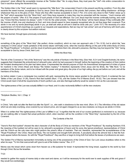presence"; never offered the acceptable incense at the "Golden Altar." No: to enjoy these, they must pass the "Veil"--into entire consecration to God in sacrifice during the Atonement Day.

The GoldenAltar in the "Holy" would seem to represent the "little flock," the consecrated Church in the present sacrificing condition. From this altar ascends the sweet incense, acceptable to God by Jesus Christ--the willing services of the priests: their praises, their willing obedience-- all things whatsoever they do to the glory of God. Those who thus offer incense acceptable to God (1 Pet. 2:5) come very close to their Father--close up to the "Veil" which separates from the "Most Holy"; and if they have requests to make they may be presented with the incense-- "much incense with the prayers of saints." (Rev. 8:3) The prayers of such priests of God are effectual. Our Lord Jesus kept the incense continually burning, and could say, "I know that thou hearest me always." (John 11:42) So the under-priests, "members of his Body," will be heard always if they continually offer the incense of faith, love and obedience to God: and none should expect to have requests recognized who do not thus keep their covenant--"If ye abide in me and my words [teachings] abide in you, ye shall ask what ye will and it shall be done unto you." (John 15:7) The necessity of a clear apprehension of Christ's teachings as a guide to our requests and expectations, that we may not "ask amiss" and out of harmony with God's plan, is clearly shown by this scripture--but seldom noticed.

We have learned, through types previously considered,

## T121

something of the glory of the "Most Holy" (the perfect, divine condition), which no man can approach unto (1 Tim. 6:16), but to which the "new creatures in Christ Jesus" made partakers of the divine nature--will finally come, when the incense-offering on the part of the entire Body of Christ, the "Royal Priesthood," is finished, and the cloud of perfume goes before them into Jehovah's presence, that they may live beyond the "Veil," being acceptable to God by Jesus Christ, their Lord.

#### Within the Most Holy

The Ark of the Covenant or "Ark of the Testimony" was the only article of furniture in the Most Holy. (See Heb. 9:2-4 and Diaglott footnote.) Its name suggests that it illustrated the embodiment of Jehovah's plan, which he had purposed in himself, before the beginning of the creation of God--before the minutest development of his plan had taken place. It represented the eternal purpose of God--his foreordained arrangement of riches of grace for mankind in the Christ (Head and Body)--"the hidden mystery."\* It therefore represents Christ Jesus and his Bride, the "little flock," to be partakers of the divine nature, and to be imbued with the power and great glory--the prize of our high calling--the joy set before our Lord, and all the members of his Body.

As before stated, it was a rectangular box overlaid with gold, representing the divine nature granted to the glorified Church. It contained the two Tables of the Law (Deut. 31:26), Aaron's Rod that budded (Num. 17:8), and the Golden Pot of Manna (Exod. 16:32). The Law showed how the Christ would meet in full all the requirements of God's perfect Law, and also that legal authority would be vested in him as the Law-executor.

The righteousness of the Law was actually fulfilled in our Head, and it is also reckonedly fulfilled in all the new creatures

*\*Scripture Studies, Vol. I, Chap. V.*

*\_\_\_\_\_\_\_\_\_\_\_\_\_\_\_\_\_\_\_*

T122

in Christ, "who walk not after the flesh but after the Spirit"; i.e., who walk in obedience to the new mind. (Rom. 8:1) The infirmities of the old nature which we are daily crucifying, once covered by our ransom-price, are not again charged to us as new creatures--so long as we abide in Christ.

When it is written that "the righteousness of the Law is fulfilled in us," it signifies that the end of our course (perfection) is reckoned to us, because we are walking after or toward that actual perfection which, when reached, will be the condition in the "Most Holy," represented by the Ark of the Covenant.

#### The Contents of the Ark

"Aaron's Rod that budded" showed the elect character of all the Body of Christ as members of the "Royal Priesthood." By reading Numbers XVII, the meaning of the budded rod will be seen to be Jehovah's acceptance of Aaron and his sons--the typical priesthood, representatives of Christ and the Church--as the only ones who might perform the priest's office of mediator. That rod, therefore, represented the acceptableness of the "Royal Priesthood"--the Christ, Head and Body. The rod budded and brought forth almonds. A peculiarity about the almond tree is that the fruitbuds appear before the leaves. So with the "Royal Priesthood": they sacrifice or begin to bring forth fruit before the leaves of professions are seen.

The Golden Pot of Manna represented immortality as being one of the possessions of the Christ of God. Our Lord Jesus doubtless refers to this when he says: "To him that overcometh will I give to eat of the hidden manna." Rev. 2:17

Manna was the bread which came down from heaven as a life-sustainer for Israel. It represented the living bread, supplied to the world by God through Christ. But as the Israelites

T123

needed to gather this supply of manna daily or else want and starve, so it will be necessary for the world ever to seek supplies of life and grace if they would live everlastingly.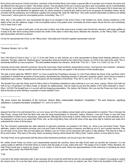But to those who become Christ's joint-heirs, members of the Anointed Body, God makes a special offer of a peculiar sort of manna, the same and yet different from that given to others--"the hidden manna." One peculiarity of this pot of manna was that it was incorruptible; hence it well illustrates the immortal, incorruptible condition promised to all members of the "Seed"--which is the Church. The manna or life-support fed to Israel was not incorruptible, and must therefore be gathered daily. So all the obedient of mankind who shall by and by be recognized as Israelites indeed, will be provided with life everlasting, but conditional, supplied and renewed life; while the "little flock," who under present unfavorable conditions are faithful "overcomers," will be given an incorruptible portion--immortality.\* Rev. 2:17

Here, then, in the golden Ark, was represented the glory to be revealed in the divine Christ: in the budded rod, God's chosen priesthood; in the tables of the Law, the righteous Judge; in the incorruptible manna in the golden bowl, immortality, the divine nature. Above this Ark, and constituting a lid or head over it, was

"The Mercy Seat"--a slab of solid gold, on the two ends of which, and of the same piece of metal, were formed two cherubim, with wings uplifted as if ready to fly, their faces looking inward toward the center of the plate on which they stood. Between the cherubim, on the "Mercy Seat," a bright light represented Jehovah's presence.

As the Ark represented the Christ, so the "Mercy Seat," Glory-light and Cherubim together represented Jehovah

*\*Scripture Studies, Vol I, p.185.*

*\_\_\_\_\_\_\_\_\_\_\_\_\_\_\_\_\_*

T124

God--"the Head of Christ is God." (1 Cor. 11:3) As with Christ, so with Jehovah, he is here represented by things which illustrate attributes of his character. The light, called the "Shekinah glory," represented Jehovah himself as the Light of the universe, as Christ is the Light of the world. This is abundantly testified by many scriptures. "Thou that dwellest between the cherubim, shine forth." Psa. 80:1; 1 Sam. 4:4; 2 Sam. 6:2; Isa. 37:16

Humanity cannot enter Jehovah's presence: hence the royal priest, Head and Body, represented byAaron, must become new creatures, "partakers of the divine nature" (having crucified and buried the human), before they can appear in the presence of that excellent glory.

The slab of gold called the "MERCY SEAT" (or more properly the Propitiatory, because on it the Priest offered the blood of the sacrifices which propitiated or satisfied the demands of divine justice) represented the underlying principle of Jehovah's character--justice. God's throne is based or established upon Justice. "Righteousness and justice are the foundation of thy throne." Psa. 89:14; Job 36:17; 37:23; Isa. 56:1; Rev. 15:3

The Apostle Paul uses the Greek word for Mercy Seat or Propitiatory (hilasterion) when referring to our Lord Jesus, saying--"Whom God hath set forth to be a Propitiatory\* [or Mercy Seat]...to declare his righteousness...that he might be just and the justifier of him which believeth in Jesus." (Rom. 3:25,26) The thought here is in accord with the foregoing presentation. The Justice, the Wisdom, the Love and the Power are God's own as well as the plan by which all these cooperate in human salvation: but it

\*By some means the translators of the Common Version Bible mistranslated hilasterion "propitiation." The word hilasmos, signifying *satisfaction, is properly translated "propitiation" in* 1 John 2:2 *and* 4:10*.*

T125

*\_\_\_\_\_\_\_\_\_\_\_\_\_\_\_\_\_\_*

pleased God that in his well beloved Son, our Lord Jesus, all of his own fullness should dwell, and be represented to mankind. Thus in the type the High Priest, coming forth from the Most Holy, was the living representative of Jehovah's Justice, Wisdom, Love and Power to men--the living representative of divine mercy, forgiveness, appeasement. Although the divine being is veiled, hidden from human sight, his divine attributes are to be displayed to all men by our great High Priest, who, as the living Mercy Seat, will at the close of this age draw nigh to mankind and make all to understand the riches of divine grace.

The Two Cherubim represented two other elements of Jehovah's character, as revealed in his Word, viz., divine Love and divine Power. These attributes, Justice, the foundation principle, and Love and Power of the same quality or essence, and lifted up out of it, are in perfect harmony. They are all made of one piece: they are thoroughly one. Neither Love nor Power can be exercised until Justice is fully satisfied. Then they fly to help, to lift up and to bless. They were on the wing, ready, but waiting; looking inward toward the "Mercy Seat," toward Justice, to know when to move.

The High Priest, as he approached with the blood of the Atonement sacrifices, did not put it upon the Cherubim.

No: neither divine Power nor divine Love independently required the sacrifice; hence the High Priest need not sprinkle the Cherubim. It is the Justice quality or attribute of God that will by no means clear the guilty, as it was Justice that said: "The wages of sin is death." When, therefore, the High Priest would give a ransom for sinners, it is to Justice it must be paid. Hence the appropriateness of the ceremony of sprinkling the blood upon the "Mercy Seat"--the PROPITIATORY.

## T126

Love led to the whole redemptive plan. It was because God so loved the world that he sent his only begotten Son to redeem it by paying to Justice the ransom-price. So Love has been active, preparing for the redemption ever since sin entered; yes, from "before the foundation of the world." 1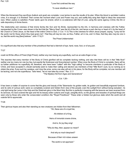"Love first contrived the way

To save rebellious man."

When the Atonement Day sacrifices (bullock and goat) are complete, Love tarries to see the results of its plan. When the blood is sprinkled Justice cries, It is enough; it is finished! Then comes the moment when Love and Power may act, and swiftly they wing their flight to bless the ransomed race. When Justice is satisfied, Power starts upon its errand, which is co-extensive with that of Love, using the same agency--Christ, the Ark or safe depository of divine favors.

The relationship and oneness of that divine family--the Son and his Bride, represented by the Ark, in harmony and oneness with the Father, represented by the Cover--was shown in the fact that the "Mercy Seat" was the lid of the Ark, and hence a part--the top or head of it. As the head of the Church is Christ Jesus, so the head of the entire Christ is God. (1 Cor. 11:3) This is the oneness for which Jesus prayed, saying, "I pray not for the world, but for those whom thou hast given me"--"that they all may be one; as thou, Father, art in me, and I in thee, that they also may be one in us, that the world may [then] believe." John 17:9,21

The Priest Unblemished

It is significant also that any member of the priesthood that had a blemish of eye, hand, nose, foot, or of any part,

T127

could not fill the office of Priest (High Priest); neither any man having any superfluity, such as an extra finger or toe.

This teaches that every member of the Body of Christ glorified will be complete--lacking nothing; and also that there will be in that "little flock" neither one too many nor one too few, but exactly the foreknown and foreordained number. When once the Body of Christ is complete, there will be no further additions--no superfluity. All, therefore, who have been "called" with this "high calling" to become members in particular of the Body of Christ, and have accepted it, should earnestly seek to make their calling and election (as members of that "little flock") sure, by so running as to obtain the prize. If any such be careless, and miss the prize, some one else will win in his place, for the Body will be complete; not one member will be lacking, and not one superfluous. Take heed, "let no man take thy crown." Rev. 3:11

"The Mystery Hid from Ages and Generations"

--Col. 1:26--

It has been a matter of surprise to some that the glory and beauty of the Tabernacle--its golden walls, its golden and beautifully engraved furniture, and its veils of curious work--were so completely covered and hidden from view of the people; even the sunlight from without being excluded-- its only light being the Lamp in the Holy and the Shekinah glory in the Most Holy. But this is perfectly in keeping with the lessons we have received from its services. As God covered the type and hid its beauty under curtains and rough, unsightly skins, so the glories and beauties of spiritual things are seen only by those who enter the consecrated condition--the "Royal Priesthood." These enter a hidden but glorious state which the world and all outside fail to appreciate.

T128

Their glorious hopes and also their standing as new creatures are hidden from their fellowmen. "Ah, these are of a royal line,

All children of a King,

Heirs of immortal crowns divine,

And lo, for joy they sing!

"Why do they, then, appear so mean?

And why so much despised?

Because of their rich robes unseen

The world is not apprised."